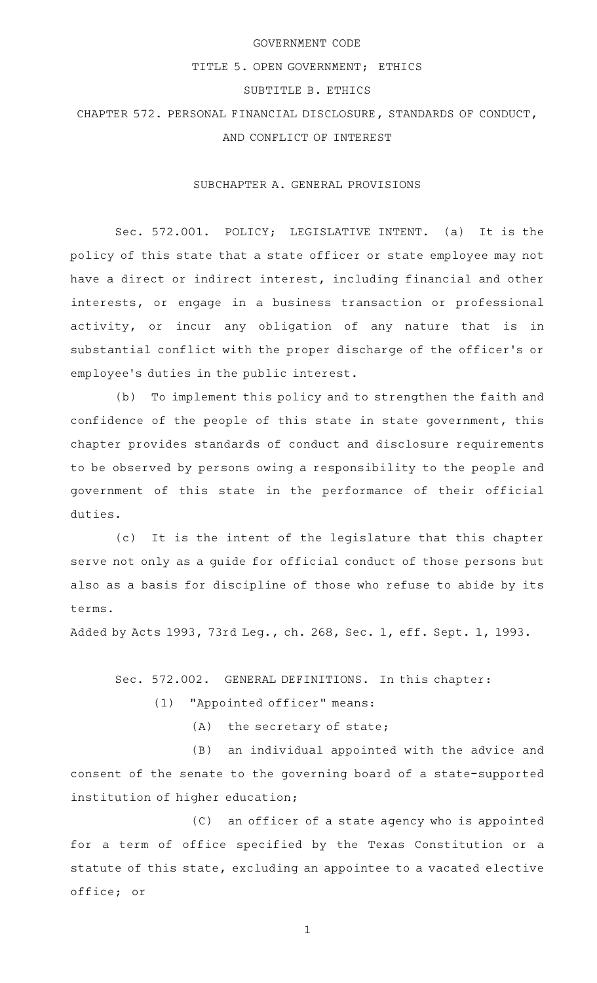### GOVERNMENT CODE

### TITLE 5. OPEN GOVERNMENT; ETHICS

# SUBTITLE B. ETHICS

CHAPTER 572. PERSONAL FINANCIAL DISCLOSURE, STANDARDS OF CONDUCT, AND CONFLICT OF INTEREST

#### SUBCHAPTER A. GENERAL PROVISIONS

Sec. 572.001. POLICY; LEGISLATIVE INTENT. (a) It is the policy of this state that a state officer or state employee may not have a direct or indirect interest, including financial and other interests, or engage in a business transaction or professional activity, or incur any obligation of any nature that is in substantial conflict with the proper discharge of the officer 's or employee 's duties in the public interest.

(b) To implement this policy and to strengthen the faith and confidence of the people of this state in state government, this chapter provides standards of conduct and disclosure requirements to be observed by persons owing a responsibility to the people and government of this state in the performance of their official duties.

(c) It is the intent of the legislature that this chapter serve not only as a guide for official conduct of those persons but also as a basis for discipline of those who refuse to abide by its terms.

Added by Acts 1993, 73rd Leg., ch. 268, Sec. 1, eff. Sept. 1, 1993.

Sec. 572.002. GENERAL DEFINITIONS. In this chapter:

(1) "Appointed officer" means:

 $(A)$  the secretary of state;

(B) an individual appointed with the advice and consent of the senate to the governing board of a state-supported institution of higher education;

(C) an officer of a state agency who is appointed for a term of office specified by the Texas Constitution or a statute of this state, excluding an appointee to a vacated elective office; or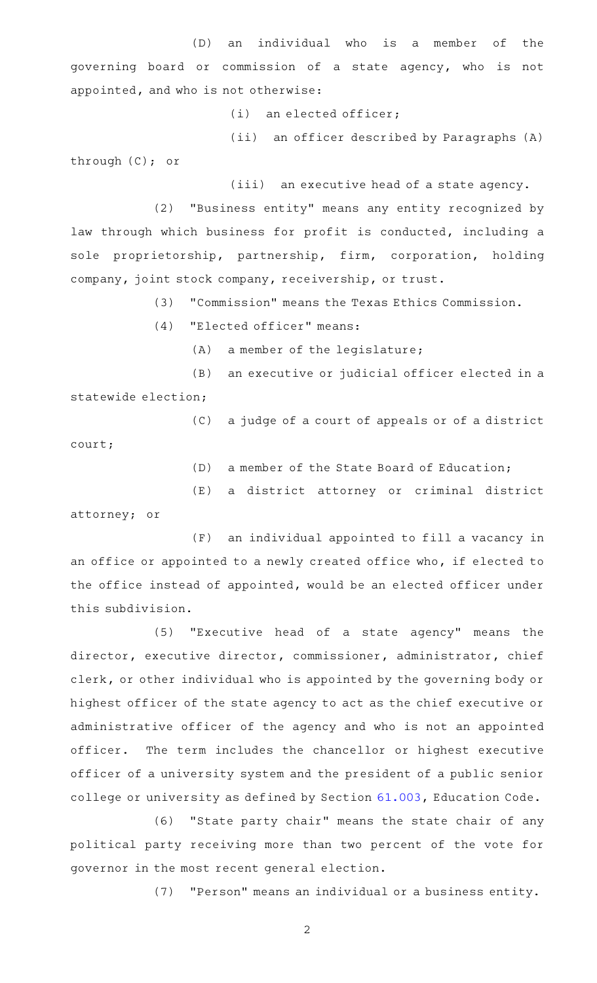(D) an individual who is a member of the governing board or commission of a state agency, who is not appointed, and who is not otherwise:

 $(i)$  an elected officer;

(ii) an officer described by Paragraphs (A) through (C); or

(iii) an executive head of a state agency.

(2) "Business entity" means any entity recognized by law through which business for profit is conducted, including a sole proprietorship, partnership, firm, corporation, holding company, joint stock company, receivership, or trust.

(3) "Commission" means the Texas Ethics Commission.

 $(4)$  "Elected officer" means:

 $(A)$  a member of the legislature;

(B) an executive or judicial officer elected in a statewide election;

(C) a judge of a court of appeals or of a district

court;

(D) a member of the State Board of Education;

(E) a district attorney or criminal district

attorney; or

(F) an individual appointed to fill a vacancy in an office or appointed to a newly created office who, if elected to the office instead of appointed, would be an elected officer under this subdivision.

(5) "Executive head of a state agency" means the director, executive director, commissioner, administrator, chief clerk, or other individual who is appointed by the governing body or highest officer of the state agency to act as the chief executive or administrative officer of the agency and who is not an appointed officer. The term includes the chancellor or highest executive officer of a university system and the president of a public senior college or university as defined by Section [61.003,](http://www.statutes.legis.state.tx.us/GetStatute.aspx?Code=ED&Value=61.003) Education Code.

(6) "State party chair" means the state chair of any political party receiving more than two percent of the vote for governor in the most recent general election.

(7) "Person" means an individual or a business entity.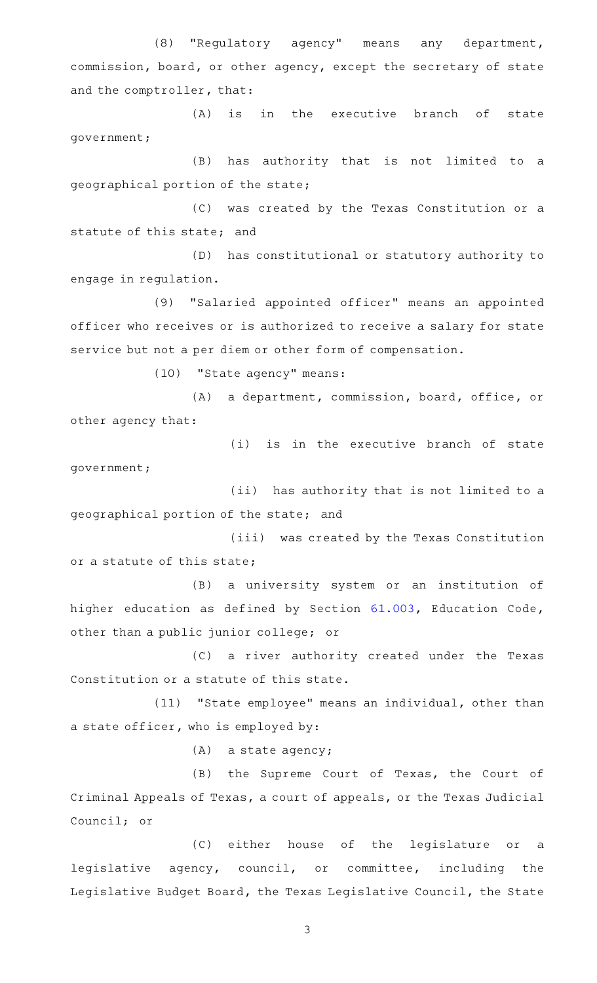(8) "Regulatory agency" means any department, commission, board, or other agency, except the secretary of state and the comptroller, that:

(A) is in the executive branch of state government;

(B) has authority that is not limited to a geographical portion of the state;

(C) was created by the Texas Constitution or a statute of this state; and

(D) has constitutional or statutory authority to engage in regulation.

(9) "Salaried appointed officer" means an appointed officer who receives or is authorized to receive a salary for state service but not a per diem or other form of compensation.

(10) "State agency" means:

(A) a department, commission, board, office, or other agency that:

(i) is in the executive branch of state government;

(ii) has authority that is not limited to a geographical portion of the state; and

(iii) was created by the Texas Constitution or a statute of this state;

(B) a university system or an institution of higher education as defined by Section [61.003](http://www.statutes.legis.state.tx.us/GetStatute.aspx?Code=ED&Value=61.003), Education Code, other than a public junior college; or

(C) a river authority created under the Texas Constitution or a statute of this state.

(11) "State employee" means an individual, other than a state officer, who is employed by:

 $(A)$  a state agency;

(B) the Supreme Court of Texas, the Court of Criminal Appeals of Texas, a court of appeals, or the Texas Judicial Council; or

(C) either house of the legislature or a legislative agency, council, or committee, including the Legislative Budget Board, the Texas Legislative Council, the State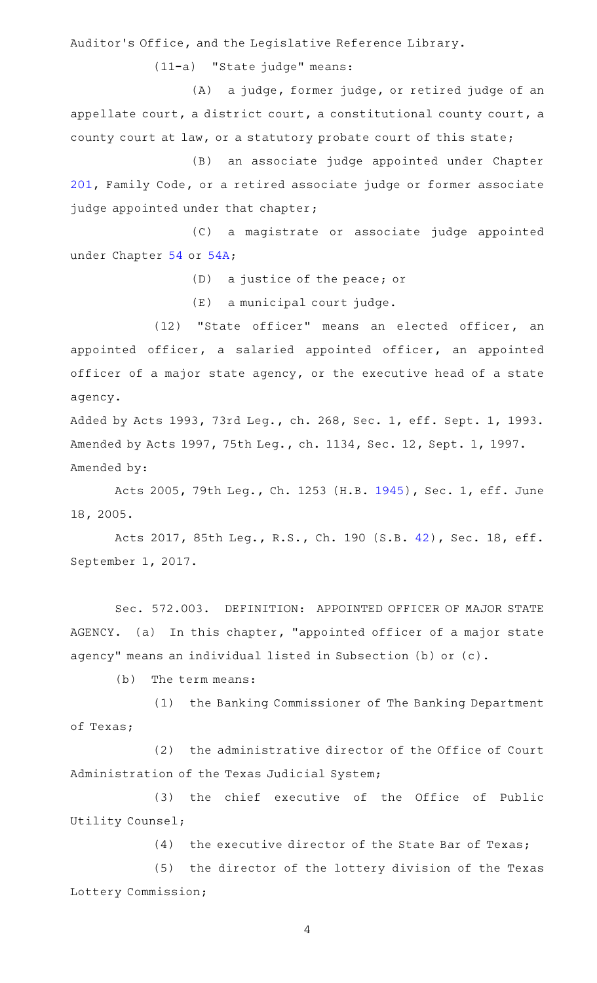Auditor 's Office, and the Legislative Reference Library.

(11-a) "State judge" means:

(A) a judge, former judge, or retired judge of an appellate court, a district court, a constitutional county court, a county court at law, or a statutory probate court of this state;

(B) an associate judge appointed under Chapter [201,](http://www.statutes.legis.state.tx.us/GetStatute.aspx?Code=FA&Value=201) Family Code, or a retired associate judge or former associate judge appointed under that chapter;

(C) a magistrate or associate judge appointed under Chapter [54](http://www.statutes.legis.state.tx.us/GetStatute.aspx?Code=GV&Value=54) or [54A;](http://www.statutes.legis.state.tx.us/GetStatute.aspx?Code=GV&Value=54A)

(D) a justice of the peace; or

 $(E)$  a municipal court judge.

(12) "State officer" means an elected officer, an appointed officer, a salaried appointed officer, an appointed officer of a major state agency, or the executive head of a state agency.

Added by Acts 1993, 73rd Leg., ch. 268, Sec. 1, eff. Sept. 1, 1993. Amended by Acts 1997, 75th Leg., ch. 1134, Sec. 12, Sept. 1, 1997. Amended by:

Acts 2005, 79th Leg., Ch. 1253 (H.B. [1945](http://www.legis.state.tx.us/tlodocs/79R/billtext/html/HB01945F.HTM)), Sec. 1, eff. June 18, 2005.

Acts 2017, 85th Leg., R.S., Ch. 190 (S.B. [42\)](http://www.legis.state.tx.us/tlodocs/85R/billtext/html/SB00042F.HTM), Sec. 18, eff. September 1, 2017.

Sec. 572.003. DEFINITION: APPOINTED OFFICER OF MAJOR STATE AGENCY. (a) In this chapter, "appointed officer of a major state agency" means an individual listed in Subsection (b) or (c).

 $(b)$  The term means:

(1) the Banking Commissioner of The Banking Department of Texas;

(2) the administrative director of the Office of Court Administration of the Texas Judicial System;

(3) the chief executive of the Office of Public Utility Counsel;

 $(4)$  the executive director of the State Bar of Texas;

(5) the director of the lottery division of the Texas Lottery Commission;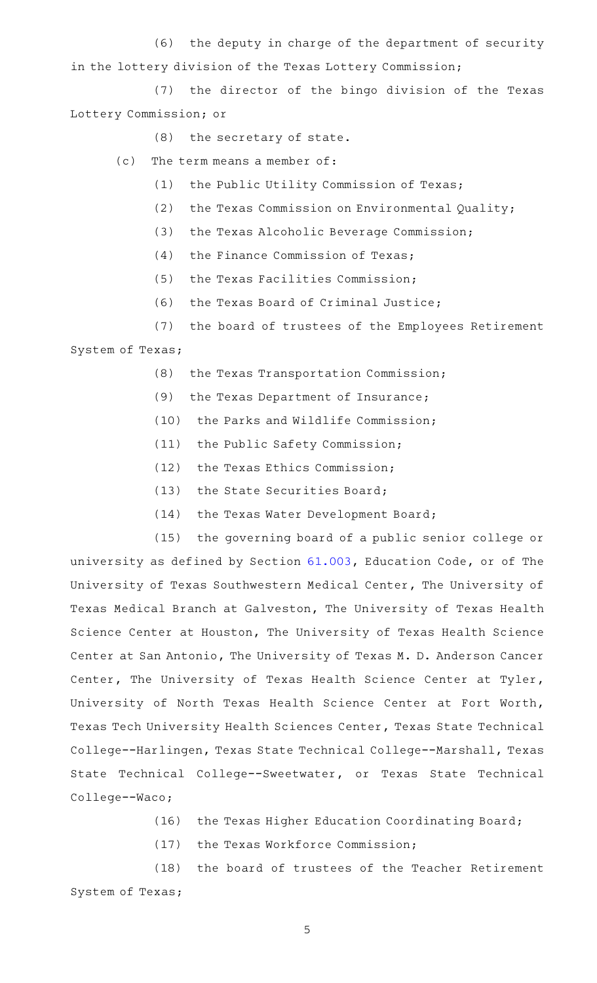(6) the deputy in charge of the department of security in the lottery division of the Texas Lottery Commission;

(7) the director of the bingo division of the Texas Lottery Commission; or

(8) the secretary of state.

- $(c)$  The term means a member of:
	- (1) the Public Utility Commission of Texas;
	- (2) the Texas Commission on Environmental Quality;
	- (3) the Texas Alcoholic Beverage Commission;
	- $(4)$  the Finance Commission of Texas;
	- (5) the Texas Facilities Commission;
	- $(6)$  the Texas Board of Criminal Justice;
- (7) the board of trustees of the Employees Retirement System of Texas;
	- (8) the Texas Transportation Commission;
	- (9) the Texas Department of Insurance;
	- (10) the Parks and Wildlife Commission;
	- (11) the Public Safety Commission;
	- (12) the Texas Ethics Commission;
	- $(13)$  the State Securities Board;
	- (14) the Texas Water Development Board;

(15) the governing board of a public senior college or university as defined by Section [61.003](http://www.statutes.legis.state.tx.us/GetStatute.aspx?Code=ED&Value=61.003), Education Code, or of The University of Texas Southwestern Medical Center, The University of Texas Medical Branch at Galveston, The University of Texas Health Science Center at Houston, The University of Texas Health Science Center at San Antonio, The University of Texas M. D. Anderson Cancer Center, The University of Texas Health Science Center at Tyler, University of North Texas Health Science Center at Fort Worth, Texas Tech University Health Sciences Center, Texas State Technical College--Harlingen, Texas State Technical College--Marshall, Texas State Technical College--Sweetwater, or Texas State Technical College--Waco;

- (16) the Texas Higher Education Coordinating Board;
- (17) the Texas Workforce Commission;

(18) the board of trustees of the Teacher Retirement System of Texas;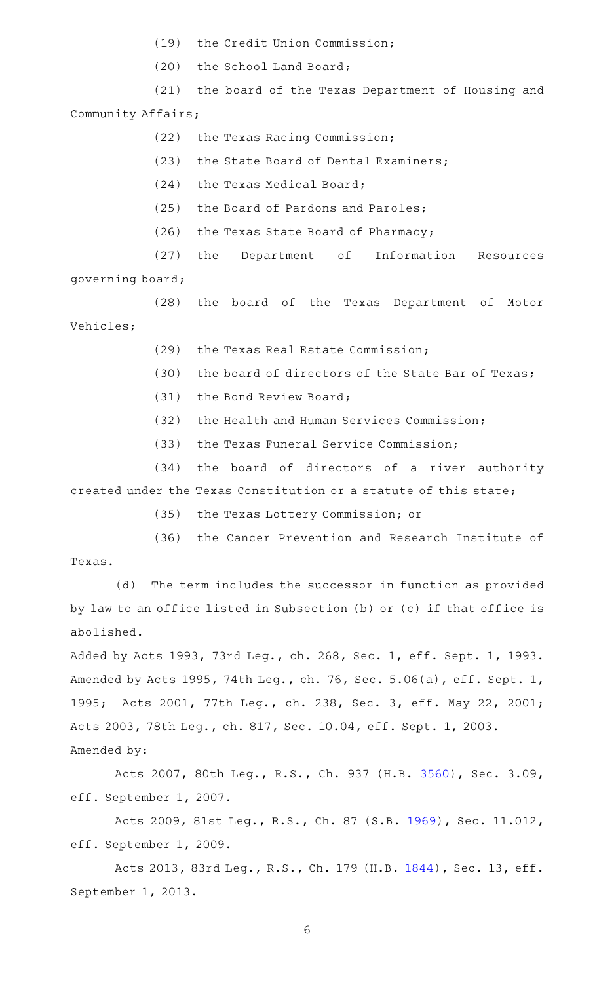- (19) the Credit Union Commission;
- (20) the School Land Board;

(21) the board of the Texas Department of Housing and Community Affairs;

- (22) the Texas Racing Commission;
- (23) the State Board of Dental Examiners;
- (24) the Texas Medical Board;
- (25) the Board of Pardons and Paroles;
- $(26)$  the Texas State Board of Pharmacy;

(27) the Department of Information Resources

governing board;

(28) the board of the Texas Department of Motor Vehicles;

- (29) the Texas Real Estate Commission;
- (30) the board of directors of the State Bar of Texas;
- (31) the Bond Review Board;
- (32) the Health and Human Services Commission;
- (33) the Texas Funeral Service Commission;

(34) the board of directors of a river authority created under the Texas Constitution or a statute of this state;

(35) the Texas Lottery Commission; or

(36) the Cancer Prevention and Research Institute of Texas.

(d) The term includes the successor in function as provided by law to an office listed in Subsection (b) or (c) if that office is abolished.

Added by Acts 1993, 73rd Leg., ch. 268, Sec. 1, eff. Sept. 1, 1993. Amended by Acts 1995, 74th Leg., ch. 76, Sec. 5.06(a), eff. Sept. 1, 1995; Acts 2001, 77th Leg., ch. 238, Sec. 3, eff. May 22, 2001; Acts 2003, 78th Leg., ch. 817, Sec. 10.04, eff. Sept. 1, 2003. Amended by:

Acts 2007, 80th Leg., R.S., Ch. 937 (H.B. [3560\)](http://www.legis.state.tx.us/tlodocs/80R/billtext/html/HB03560F.HTM), Sec. 3.09, eff. September 1, 2007.

Acts 2009, 81st Leg., R.S., Ch. 87 (S.B. [1969](http://www.legis.state.tx.us/tlodocs/81R/billtext/html/SB01969F.HTM)), Sec. 11.012, eff. September 1, 2009.

Acts 2013, 83rd Leg., R.S., Ch. 179 (H.B. [1844\)](http://www.legis.state.tx.us/tlodocs/83R/billtext/html/HB01844F.HTM), Sec. 13, eff. September 1, 2013.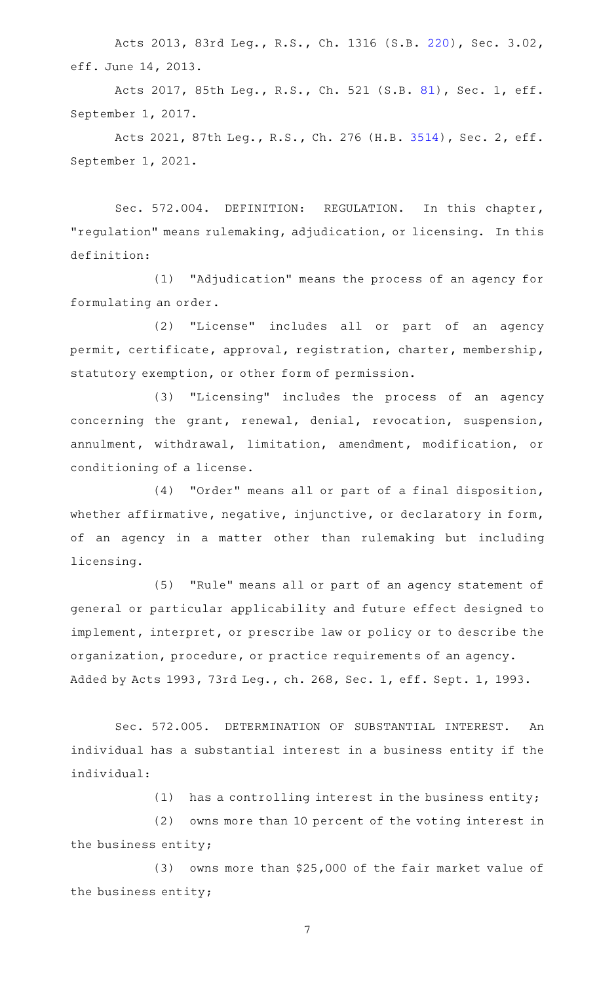Acts 2013, 83rd Leg., R.S., Ch. 1316 (S.B. [220\)](http://www.legis.state.tx.us/tlodocs/83R/billtext/html/SB00220F.HTM), Sec. 3.02, eff. June 14, 2013.

Acts 2017, 85th Leg., R.S., Ch. 521 (S.B. [81](http://www.legis.state.tx.us/tlodocs/85R/billtext/html/SB00081F.HTM)), Sec. 1, eff. September 1, 2017.

Acts 2021, 87th Leg., R.S., Ch. 276 (H.B. [3514](http://www.legis.state.tx.us/tlodocs/87R/billtext/html/HB03514F.HTM)), Sec. 2, eff. September 1, 2021.

Sec. 572.004. DEFINITION: REGULATION. In this chapter, "regulation" means rulemaking, adjudication, or licensing. In this definition:

(1) "Adjudication" means the process of an agency for formulating an order.

(2) "License" includes all or part of an agency permit, certificate, approval, registration, charter, membership, statutory exemption, or other form of permission.

(3) "Licensing" includes the process of an agency concerning the grant, renewal, denial, revocation, suspension, annulment, withdrawal, limitation, amendment, modification, or conditioning of a license.

(4) "Order" means all or part of a final disposition, whether affirmative, negative, injunctive, or declaratory in form, of an agency in a matter other than rulemaking but including licensing.

(5) "Rule" means all or part of an agency statement of general or particular applicability and future effect designed to implement, interpret, or prescribe law or policy or to describe the organization, procedure, or practice requirements of an agency. Added by Acts 1993, 73rd Leg., ch. 268, Sec. 1, eff. Sept. 1, 1993.

Sec. 572.005. DETERMINATION OF SUBSTANTIAL INTEREST. An individual has a substantial interest in a business entity if the individual:

(1) has a controlling interest in the business entity;

(2) owns more than 10 percent of the voting interest in the business entity;

(3) owns more than \$25,000 of the fair market value of the business entity;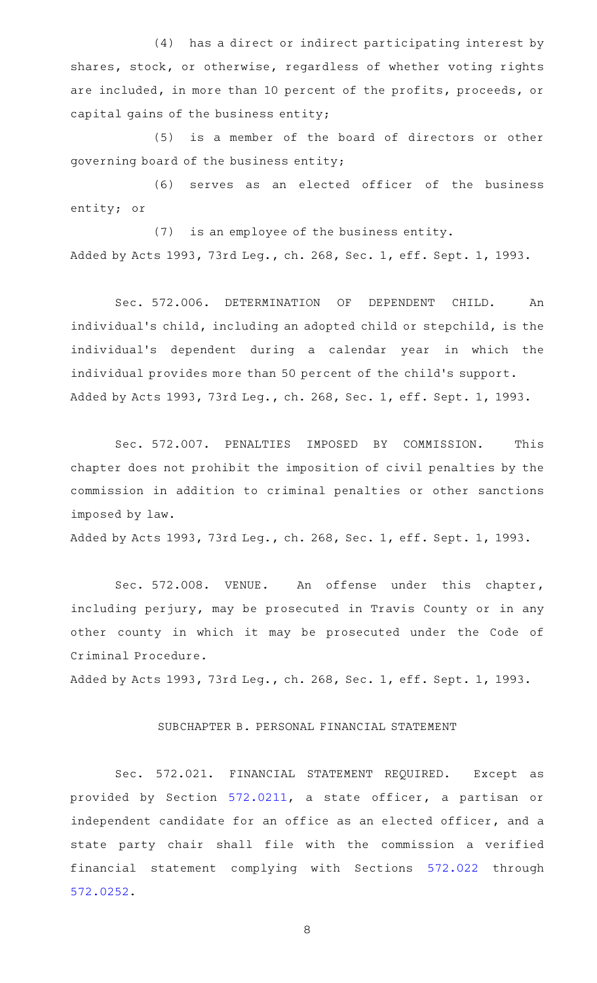(4) has a direct or indirect participating interest by shares, stock, or otherwise, regardless of whether voting rights are included, in more than 10 percent of the profits, proceeds, or capital gains of the business entity;

(5) is a member of the board of directors or other governing board of the business entity;

(6) serves as an elected officer of the business entity; or

(7) is an employee of the business entity. Added by Acts 1993, 73rd Leg., ch. 268, Sec. 1, eff. Sept. 1, 1993.

Sec. 572.006. DETERMINATION OF DEPENDENT CHILD. An individual's child, including an adopted child or stepchild, is the individual 's dependent during a calendar year in which the individual provides more than 50 percent of the child 's support. Added by Acts 1993, 73rd Leg., ch. 268, Sec. 1, eff. Sept. 1, 1993.

Sec. 572.007. PENALTIES IMPOSED BY COMMISSION. This chapter does not prohibit the imposition of civil penalties by the commission in addition to criminal penalties or other sanctions imposed by law.

Added by Acts 1993, 73rd Leg., ch. 268, Sec. 1, eff. Sept. 1, 1993.

Sec. 572.008. VENUE. An offense under this chapter, including perjury, may be prosecuted in Travis County or in any other county in which it may be prosecuted under the Code of Criminal Procedure.

Added by Acts 1993, 73rd Leg., ch. 268, Sec. 1, eff. Sept. 1, 1993.

## SUBCHAPTER B. PERSONAL FINANCIAL STATEMENT

Sec. 572.021. FINANCIAL STATEMENT REQUIRED. Except as provided by Section [572.0211](http://www.statutes.legis.state.tx.us/GetStatute.aspx?Code=GV&Value=572.0211), a state officer, a partisan or independent candidate for an office as an elected officer, and a state party chair shall file with the commission a verified financial statement complying with Sections [572.022](http://www.statutes.legis.state.tx.us/GetStatute.aspx?Code=GV&Value=572.022) through [572.0252](http://www.statutes.legis.state.tx.us/GetStatute.aspx?Code=GV&Value=572.0252).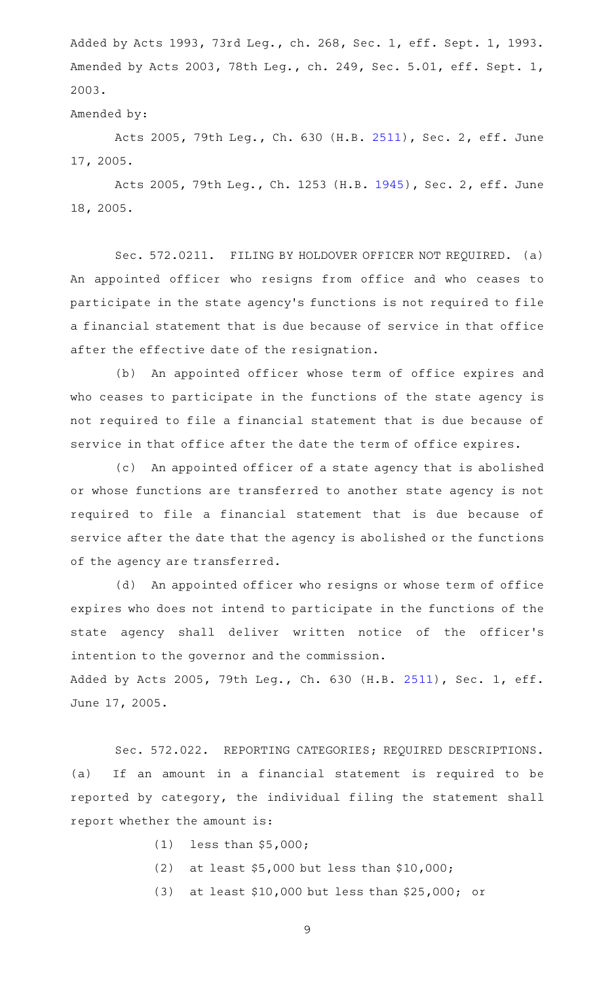Added by Acts 1993, 73rd Leg., ch. 268, Sec. 1, eff. Sept. 1, 1993. Amended by Acts 2003, 78th Leg., ch. 249, Sec. 5.01, eff. Sept. 1, 2003.

#### Amended by:

Acts 2005, 79th Leg., Ch. 630 (H.B. [2511\)](http://www.legis.state.tx.us/tlodocs/79R/billtext/html/HB02511F.HTM), Sec. 2, eff. June 17, 2005.

Acts 2005, 79th Leg., Ch. 1253 (H.B. [1945](http://www.legis.state.tx.us/tlodocs/79R/billtext/html/HB01945F.HTM)), Sec. 2, eff. June 18, 2005.

Sec. 572.0211. FILING BY HOLDOVER OFFICER NOT REQUIRED. (a) An appointed officer who resigns from office and who ceases to participate in the state agency 's functions is not required to file a financial statement that is due because of service in that office after the effective date of the resignation.

(b) An appointed officer whose term of office expires and who ceases to participate in the functions of the state agency is not required to file a financial statement that is due because of service in that office after the date the term of office expires.

(c) An appointed officer of a state agency that is abolished or whose functions are transferred to another state agency is not required to file a financial statement that is due because of service after the date that the agency is abolished or the functions of the agency are transferred.

(d) An appointed officer who resigns or whose term of office expires who does not intend to participate in the functions of the state agency shall deliver written notice of the officer 's intention to the governor and the commission.

Added by Acts 2005, 79th Leg., Ch. 630 (H.B. [2511](http://www.legis.state.tx.us/tlodocs/79R/billtext/html/HB02511F.HTM)), Sec. 1, eff. June 17, 2005.

Sec. 572.022. REPORTING CATEGORIES; REQUIRED DESCRIPTIONS. (a) If an amount in a financial statement is required to be reported by category, the individual filing the statement shall report whether the amount is:

- $(1)$  less than \$5,000;
- (2) at least  $$5,000$  but less than  $$10,000$ ;
- (3) at least  $$10,000$  but less than  $$25,000$ ; or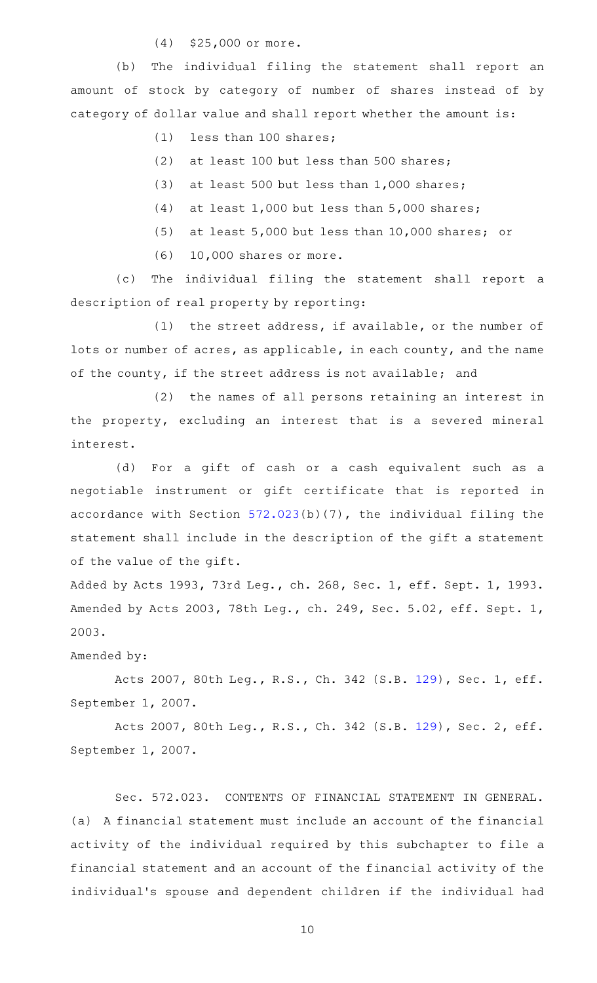(4) \$25,000 or more.

(b) The individual filing the statement shall report an amount of stock by category of number of shares instead of by category of dollar value and shall report whether the amount is:

 $(1)$  less than 100 shares;

- (2) at least 100 but less than 500 shares;
- (3) at least 500 but less than  $1,000$  shares;
- (4) at least  $1,000$  but less than  $5,000$  shares;
- (5) at least  $5,000$  but less than 10,000 shares; or
- $(6)$  10,000 shares or more.

(c) The individual filing the statement shall report a description of real property by reporting:

(1) the street address, if available, or the number of lots or number of acres, as applicable, in each county, and the name of the county, if the street address is not available; and

(2) the names of all persons retaining an interest in the property, excluding an interest that is a severed mineral interest.

(d) For a gift of cash or a cash equivalent such as a negotiable instrument or gift certificate that is reported in accordance with Section [572.023](http://www.statutes.legis.state.tx.us/GetStatute.aspx?Code=GV&Value=572.023)(b)(7), the individual filing the statement shall include in the description of the gift a statement of the value of the gift.

Added by Acts 1993, 73rd Leg., ch. 268, Sec. 1, eff. Sept. 1, 1993. Amended by Acts 2003, 78th Leg., ch. 249, Sec. 5.02, eff. Sept. 1, 2003.

Amended by:

Acts 2007, 80th Leg., R.S., Ch. 342 (S.B. [129](http://www.legis.state.tx.us/tlodocs/80R/billtext/html/SB00129F.HTM)), Sec. 1, eff. September 1, 2007.

Acts 2007, 80th Leg., R.S., Ch. 342 (S.B. [129](http://www.legis.state.tx.us/tlodocs/80R/billtext/html/SB00129F.HTM)), Sec. 2, eff. September 1, 2007.

Sec. 572.023. CONTENTS OF FINANCIAL STATEMENT IN GENERAL. (a) A financial statement must include an account of the financial activity of the individual required by this subchapter to file a financial statement and an account of the financial activity of the individual 's spouse and dependent children if the individual had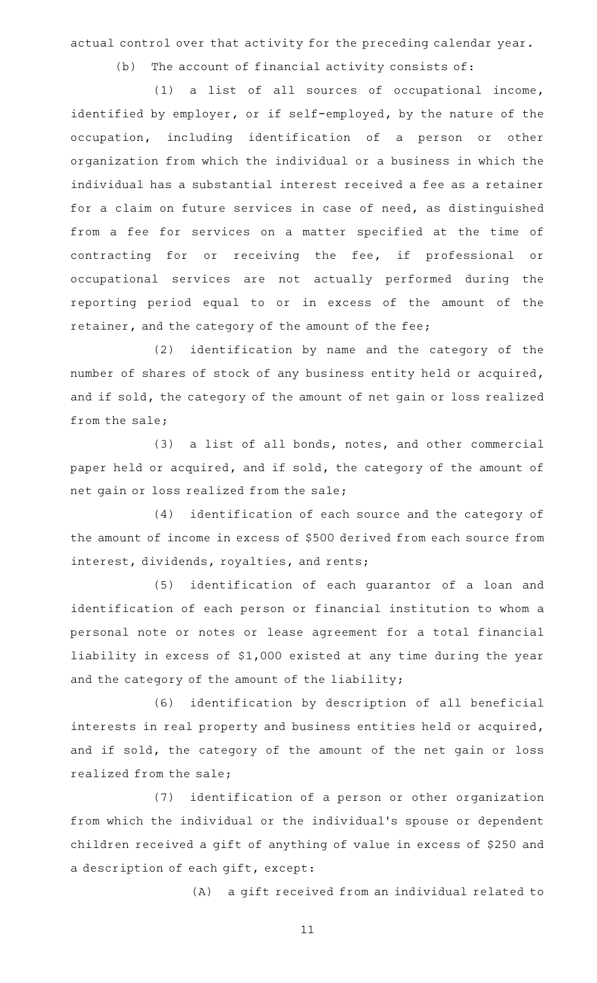actual control over that activity for the preceding calendar year.

 $(b)$  The account of financial activity consists of:

 $(1)$  a list of all sources of occupational income, identified by employer, or if self-employed, by the nature of the occupation, including identification of a person or other organization from which the individual or a business in which the individual has a substantial interest received a fee as a retainer for a claim on future services in case of need, as distinguished from a fee for services on a matter specified at the time of contracting for or receiving the fee, if professional or occupational services are not actually performed during the reporting period equal to or in excess of the amount of the retainer, and the category of the amount of the fee;

(2) identification by name and the category of the number of shares of stock of any business entity held or acquired, and if sold, the category of the amount of net gain or loss realized from the sale;

 $(3)$  a list of all bonds, notes, and other commercial paper held or acquired, and if sold, the category of the amount of net gain or loss realized from the sale;

(4) identification of each source and the category of the amount of income in excess of \$500 derived from each source from interest, dividends, royalties, and rents;

(5) identification of each guarantor of a loan and identification of each person or financial institution to whom a personal note or notes or lease agreement for a total financial liability in excess of \$1,000 existed at any time during the year and the category of the amount of the liability;

(6) identification by description of all beneficial interests in real property and business entities held or acquired, and if sold, the category of the amount of the net gain or loss realized from the sale;

(7) identification of a person or other organization from which the individual or the individual 's spouse or dependent children received a gift of anything of value in excess of \$250 and a description of each gift, except:

(A) a gift received from an individual related to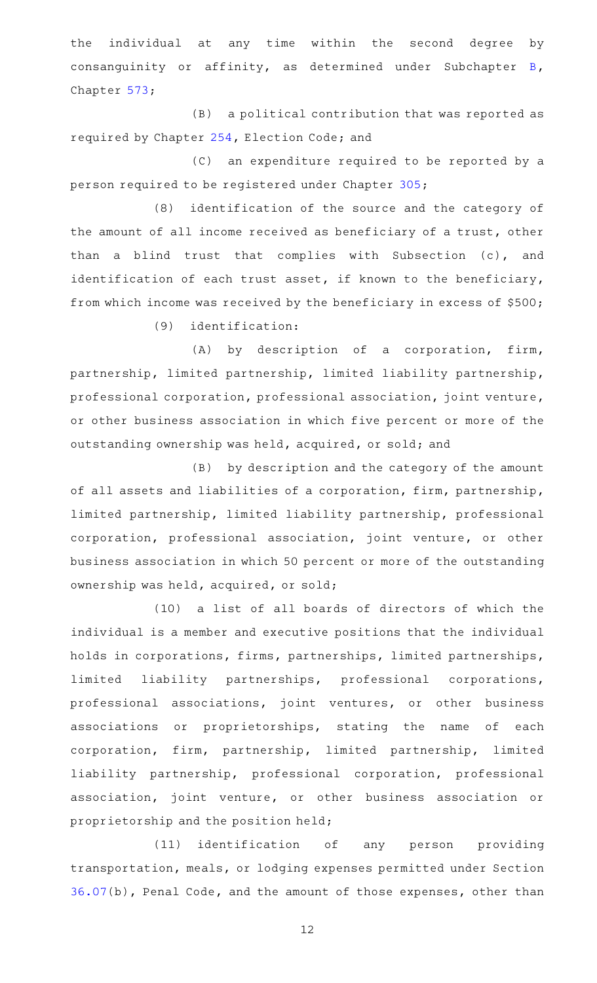the individual at any time within the second degree by consanguinity or affinity, as determined under Subchapter [B](http://www.statutes.legis.state.tx.us/GetStatute.aspx?Code=GV&Value=573.021), Chapter [573;](http://www.statutes.legis.state.tx.us/GetStatute.aspx?Code=GV&Value=573)

 $(B)$  a political contribution that was reported as required by Chapter [254](http://www.statutes.legis.state.tx.us/GetStatute.aspx?Code=EL&Value=254), Election Code; and

(C) an expenditure required to be reported by a person required to be registered under Chapter [305;](http://www.statutes.legis.state.tx.us/GetStatute.aspx?Code=GV&Value=305)

(8) identification of the source and the category of the amount of all income received as beneficiary of a trust, other than a blind trust that complies with Subsection (c), and identification of each trust asset, if known to the beneficiary, from which income was received by the beneficiary in excess of \$500;

 $(9)$  identification:

(A) by description of a corporation, firm, partnership, limited partnership, limited liability partnership, professional corporation, professional association, joint venture, or other business association in which five percent or more of the outstanding ownership was held, acquired, or sold; and

(B) by description and the category of the amount of all assets and liabilities of a corporation, firm, partnership, limited partnership, limited liability partnership, professional corporation, professional association, joint venture, or other business association in which 50 percent or more of the outstanding ownership was held, acquired, or sold;

(10) a list of all boards of directors of which the individual is a member and executive positions that the individual holds in corporations, firms, partnerships, limited partnerships, limited liability partnerships, professional corporations, professional associations, joint ventures, or other business associations or proprietorships, stating the name of each corporation, firm, partnership, limited partnership, limited liability partnership, professional corporation, professional association, joint venture, or other business association or proprietorship and the position held;

(11) identification of any person providing transportation, meals, or lodging expenses permitted under Section [36.07\(](http://www.statutes.legis.state.tx.us/GetStatute.aspx?Code=PE&Value=36.07)b), Penal Code, and the amount of those expenses, other than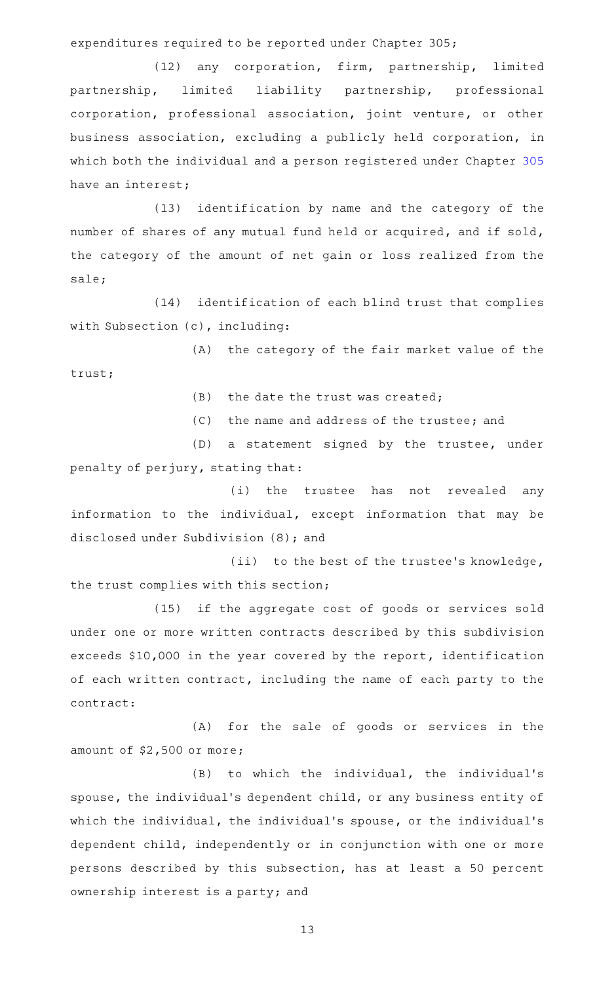expenditures required to be reported under Chapter 305;

(12) any corporation, firm, partnership, limited partnership, limited liability partnership, professional corporation, professional association, joint venture, or other business association, excluding a publicly held corporation, in which both the individual and a person registered under Chapter [305](http://www.statutes.legis.state.tx.us/GetStatute.aspx?Code=GV&Value=305) have an interest;

(13) identification by name and the category of the number of shares of any mutual fund held or acquired, and if sold, the category of the amount of net gain or loss realized from the sale;

(14) identification of each blind trust that complies with Subsection (c), including:

(A) the category of the fair market value of the trust;

 $(B)$  the date the trust was created;

(C) the name and address of the trustee; and

(D) a statement signed by the trustee, under penalty of perjury, stating that:

(i) the trustee has not revealed any information to the individual, except information that may be disclosed under Subdivision (8); and

(ii) to the best of the trustee's knowledge, the trust complies with this section;

(15) if the aggregate cost of goods or services sold under one or more written contracts described by this subdivision exceeds \$10,000 in the year covered by the report, identification of each written contract, including the name of each party to the contract:

(A) for the sale of goods or services in the amount of \$2,500 or more;

(B) to which the individual, the individual's spouse, the individual 's dependent child, or any business entity of which the individual, the individual's spouse, or the individual's dependent child, independently or in conjunction with one or more persons described by this subsection, has at least a 50 percent ownership interest is a party; and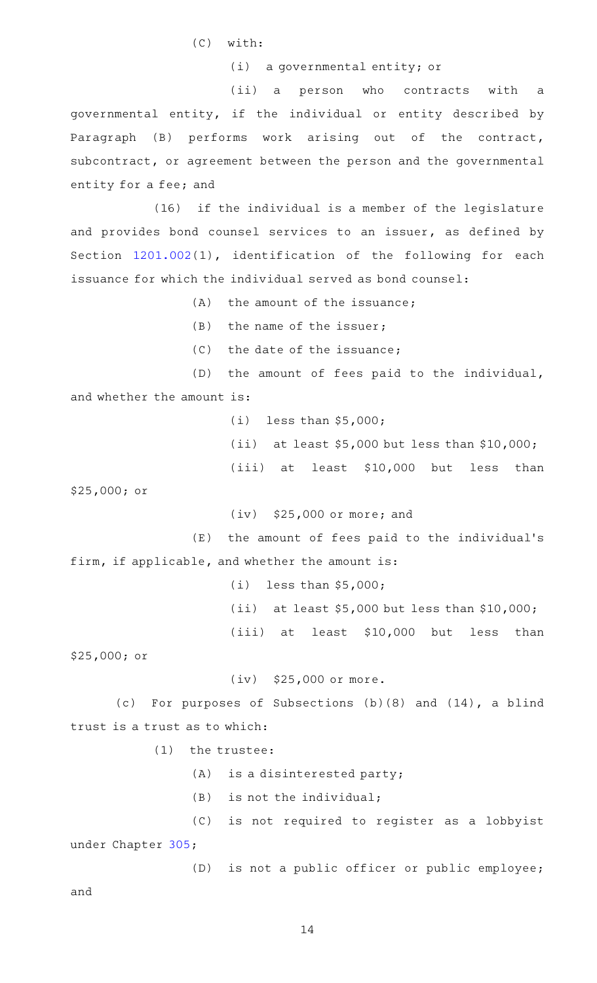$(C)$  with:

(i) a governmental entity; or

(ii) a person who contracts with a governmental entity, if the individual or entity described by Paragraph (B) performs work arising out of the contract, subcontract, or agreement between the person and the governmental entity for a fee; and

(16) if the individual is a member of the legislature and provides bond counsel services to an issuer, as defined by Section [1201.002](http://www.statutes.legis.state.tx.us/GetStatute.aspx?Code=GV&Value=1201.002)(1), identification of the following for each issuance for which the individual served as bond counsel:

 $(A)$  the amount of the issuance:

 $(B)$  the name of the issuer;

 $(C)$  the date of the issuance;

(D) the amount of fees paid to the individual, and whether the amount is:

> $(i)$  less than \$5,000; (ii) at least  $$5,000$  but less than  $$10,000$ ;  $(iii)$  at least \$10,000 but less than

\$25,000; or

 $(iv)$  \$25,000 or more; and

 $(E)$  the amount of fees paid to the individual's firm, if applicable, and whether the amount is:

> (i) less than  $$5,000;$ (ii) at least  $$5,000$  but less than  $$10,000$ ;  $(iii)$  at least \$10,000 but less than

\$25,000; or

 $(iv)$  \$25,000 or more.

(c) For purposes of Subsections  $(b)(8)$  and  $(14)$ , a blind trust is a trust as to which:

 $(1)$  the trustee:

 $(A)$  is a disinterested party;

 $(B)$  is not the individual;

(C) is not required to register as a lobbyist under Chapter [305](http://www.statutes.legis.state.tx.us/GetStatute.aspx?Code=GV&Value=305);

(D) is not a public officer or public employee;

and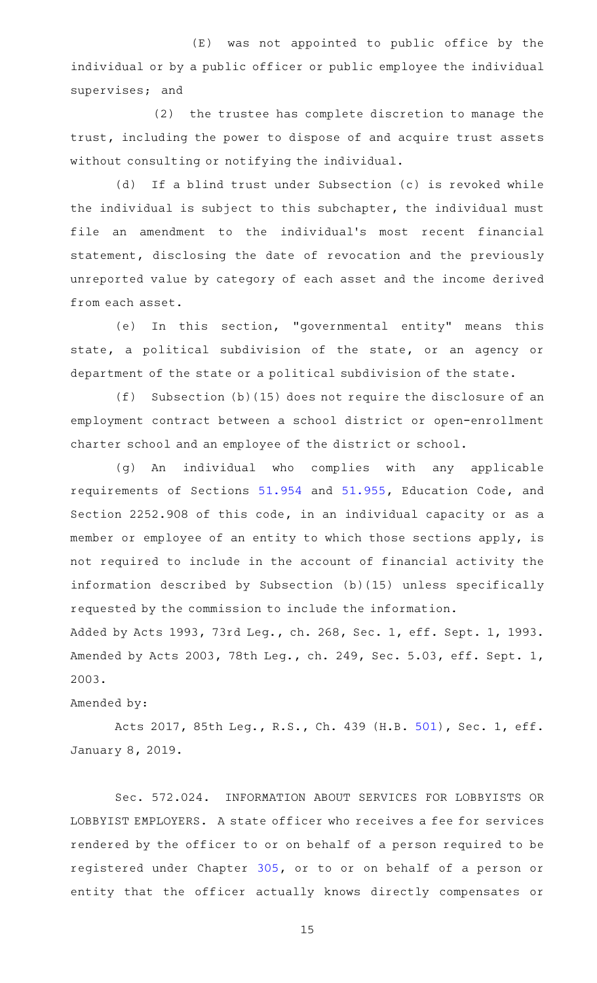$(E)$  was not appointed to public office by the individual or by a public officer or public employee the individual supervises; and

(2) the trustee has complete discretion to manage the trust, including the power to dispose of and acquire trust assets without consulting or notifying the individual.

(d) If a blind trust under Subsection (c) is revoked while the individual is subject to this subchapter, the individual must file an amendment to the individual's most recent financial statement, disclosing the date of revocation and the previously unreported value by category of each asset and the income derived from each asset.

(e) In this section, "governmental entity" means this state, a political subdivision of the state, or an agency or department of the state or a political subdivision of the state.

(f) Subsection  $(b)$  (15) does not require the disclosure of an employment contract between a school district or open-enrollment charter school and an employee of the district or school.

(q) An individual who complies with any applicable requirements of Sections [51.954](http://www.statutes.legis.state.tx.us/GetStatute.aspx?Code=ED&Value=51.954) and [51.955,](http://www.statutes.legis.state.tx.us/GetStatute.aspx?Code=ED&Value=51.955) Education Code, and Section 2252.908 of this code, in an individual capacity or as a member or employee of an entity to which those sections apply, is not required to include in the account of financial activity the information described by Subsection (b)(15) unless specifically requested by the commission to include the information.

Added by Acts 1993, 73rd Leg., ch. 268, Sec. 1, eff. Sept. 1, 1993. Amended by Acts 2003, 78th Leg., ch. 249, Sec. 5.03, eff. Sept. 1, 2003.

Amended by:

Acts 2017, 85th Leg., R.S., Ch. 439 (H.B. [501](http://www.legis.state.tx.us/tlodocs/85R/billtext/html/HB00501F.HTM)), Sec. 1, eff. January 8, 2019.

Sec. 572.024. INFORMATION ABOUT SERVICES FOR LOBBYISTS OR LOBBYIST EMPLOYERS. A state officer who receives a fee for services rendered by the officer to or on behalf of a person required to be registered under Chapter [305,](http://www.statutes.legis.state.tx.us/GetStatute.aspx?Code=GV&Value=305) or to or on behalf of a person or entity that the officer actually knows directly compensates or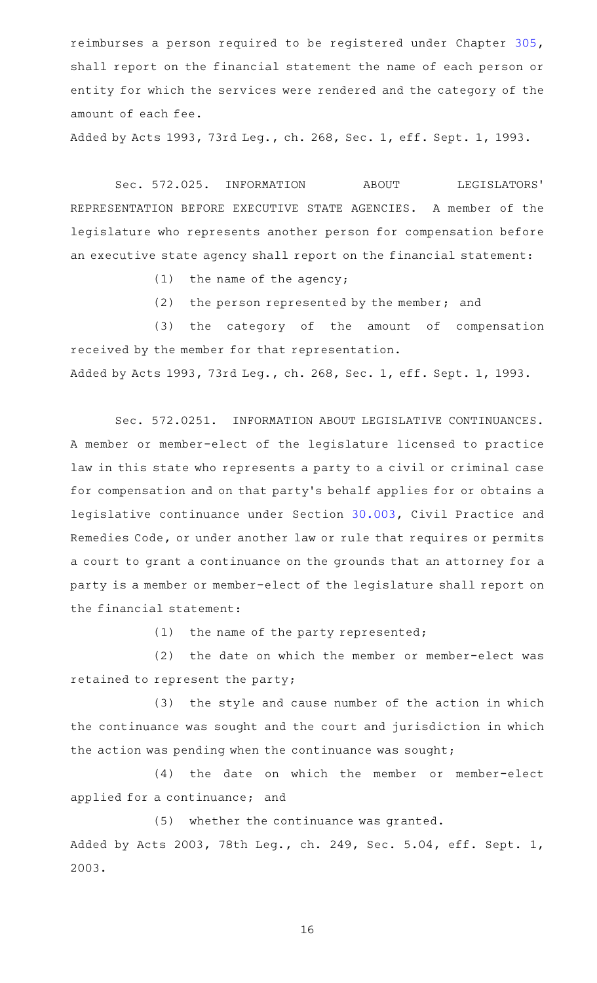reimburses a person required to be registered under Chapter [305](http://www.statutes.legis.state.tx.us/GetStatute.aspx?Code=GV&Value=305), shall report on the financial statement the name of each person or entity for which the services were rendered and the category of the amount of each fee.

Added by Acts 1993, 73rd Leg., ch. 268, Sec. 1, eff. Sept. 1, 1993.

Sec. 572.025. INFORMATION ABOUT LEGISLATORS' REPRESENTATION BEFORE EXECUTIVE STATE AGENCIES. A member of the legislature who represents another person for compensation before an executive state agency shall report on the financial statement:

- $(1)$  the name of the agency;
- (2) the person represented by the member; and

(3) the category of the amount of compensation received by the member for that representation. Added by Acts 1993, 73rd Leg., ch. 268, Sec. 1, eff. Sept. 1, 1993.

Sec. 572.0251. INFORMATION ABOUT LEGISLATIVE CONTINUANCES. A member or member-elect of the legislature licensed to practice law in this state who represents a party to a civil or criminal case for compensation and on that party 's behalf applies for or obtains a legislative continuance under Section [30.003,](http://www.statutes.legis.state.tx.us/GetStatute.aspx?Code=CP&Value=30.003) Civil Practice and Remedies Code, or under another law or rule that requires or permits a court to grant a continuance on the grounds that an attorney for a party is a member or member-elect of the legislature shall report on the financial statement:

 $(1)$  the name of the party represented;

(2) the date on which the member or member-elect was retained to represent the party;

(3) the style and cause number of the action in which the continuance was sought and the court and jurisdiction in which the action was pending when the continuance was sought;

(4) the date on which the member or member-elect applied for a continuance; and

(5) whether the continuance was granted. Added by Acts 2003, 78th Leg., ch. 249, Sec. 5.04, eff. Sept. 1, 2003.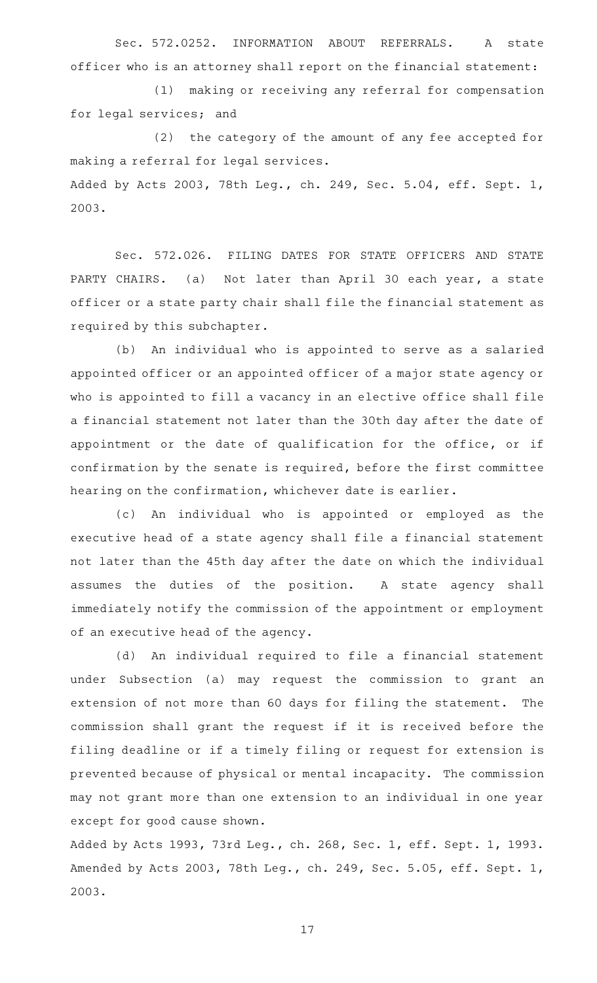Sec. 572.0252. INFORMATION ABOUT REFERRALS. A state officer who is an attorney shall report on the financial statement:

(1) making or receiving any referral for compensation for legal services; and

(2) the category of the amount of any fee accepted for making a referral for legal services. Added by Acts 2003, 78th Leg., ch. 249, Sec. 5.04, eff. Sept. 1, 2003.

Sec. 572.026. FILING DATES FOR STATE OFFICERS AND STATE PARTY CHAIRS. (a) Not later than April 30 each year, a state officer or a state party chair shall file the financial statement as required by this subchapter.

(b) An individual who is appointed to serve as a salaried appointed officer or an appointed officer of a major state agency or who is appointed to fill a vacancy in an elective office shall file a financial statement not later than the 30th day after the date of appointment or the date of qualification for the office, or if confirmation by the senate is required, before the first committee hearing on the confirmation, whichever date is earlier.

(c) An individual who is appointed or employed as the executive head of a state agency shall file a financial statement not later than the 45th day after the date on which the individual assumes the duties of the position. A state agency shall immediately notify the commission of the appointment or employment of an executive head of the agency.

(d) An individual required to file a financial statement under Subsection (a) may request the commission to grant an extension of not more than 60 days for filing the statement. The commission shall grant the request if it is received before the filing deadline or if a timely filing or request for extension is prevented because of physical or mental incapacity. The commission may not grant more than one extension to an individual in one year except for good cause shown.

Added by Acts 1993, 73rd Leg., ch. 268, Sec. 1, eff. Sept. 1, 1993. Amended by Acts 2003, 78th Leg., ch. 249, Sec. 5.05, eff. Sept. 1, 2003.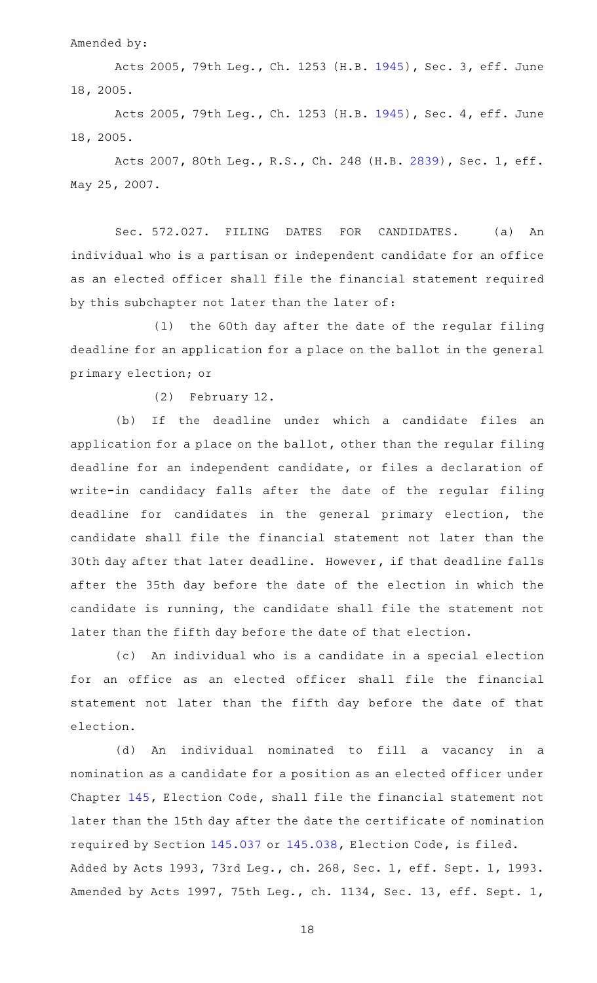Amended by:

Acts 2005, 79th Leg., Ch. 1253 (H.B. [1945](http://www.legis.state.tx.us/tlodocs/79R/billtext/html/HB01945F.HTM)), Sec. 3, eff. June 18, 2005.

Acts 2005, 79th Leg., Ch. 1253 (H.B. [1945](http://www.legis.state.tx.us/tlodocs/79R/billtext/html/HB01945F.HTM)), Sec. 4, eff. June 18, 2005.

Acts 2007, 80th Leg., R.S., Ch. 248 (H.B. [2839](http://www.legis.state.tx.us/tlodocs/80R/billtext/html/HB02839F.HTM)), Sec. 1, eff. May 25, 2007.

Sec. 572.027. FILING DATES FOR CANDIDATES. (a) An individual who is a partisan or independent candidate for an office as an elected officer shall file the financial statement required by this subchapter not later than the later of:

(1) the 60th day after the date of the regular filing deadline for an application for a place on the ballot in the general primary election; or

(2) February 12.

(b) If the deadline under which a candidate files an application for a place on the ballot, other than the regular filing deadline for an independent candidate, or files a declaration of write-in candidacy falls after the date of the regular filing deadline for candidates in the general primary election, the candidate shall file the financial statement not later than the 30th day after that later deadline. However, if that deadline falls after the 35th day before the date of the election in which the candidate is running, the candidate shall file the statement not later than the fifth day before the date of that election.

(c) An individual who is a candidate in a special election for an office as an elected officer shall file the financial statement not later than the fifth day before the date of that election.

(d) An individual nominated to fill a vacancy in a nomination as a candidate for a position as an elected officer under Chapter [145,](http://www.statutes.legis.state.tx.us/GetStatute.aspx?Code=EL&Value=145) Election Code, shall file the financial statement not later than the 15th day after the date the certificate of nomination required by Section [145.037](http://www.statutes.legis.state.tx.us/GetStatute.aspx?Code=EL&Value=145.037) or [145.038](http://www.statutes.legis.state.tx.us/GetStatute.aspx?Code=EL&Value=145.038), Election Code, is filed. Added by Acts 1993, 73rd Leg., ch. 268, Sec. 1, eff. Sept. 1, 1993. Amended by Acts 1997, 75th Leg., ch. 1134, Sec. 13, eff. Sept. 1,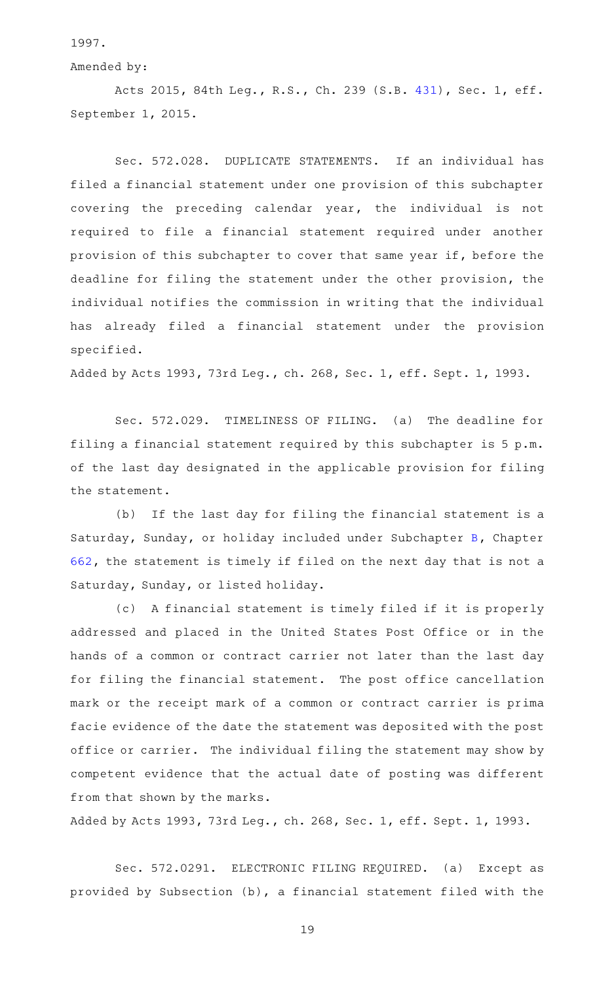1997.

Amended by:

Acts 2015, 84th Leg., R.S., Ch. 239 (S.B. [431](http://www.legis.state.tx.us/tlodocs/84R/billtext/html/SB00431F.HTM)), Sec. 1, eff. September 1, 2015.

Sec. 572.028. DUPLICATE STATEMENTS. If an individual has filed a financial statement under one provision of this subchapter covering the preceding calendar year, the individual is not required to file a financial statement required under another provision of this subchapter to cover that same year if, before the deadline for filing the statement under the other provision, the individual notifies the commission in writing that the individual has already filed a financial statement under the provision specified.

Added by Acts 1993, 73rd Leg., ch. 268, Sec. 1, eff. Sept. 1, 1993.

Sec. 572.029. TIMELINESS OF FILING. (a) The deadline for filing a financial statement required by this subchapter is 5 p.m. of the last day designated in the applicable provision for filing the statement.

(b) If the last day for filing the financial statement is a Saturday, Sunday, or holiday included under Subchapter [B,](http://www.statutes.legis.state.tx.us/GetStatute.aspx?Code=GV&Value=662.021) Chapter [662,](http://www.statutes.legis.state.tx.us/GetStatute.aspx?Code=GV&Value=662) the statement is timely if filed on the next day that is not a Saturday, Sunday, or listed holiday.

(c) A financial statement is timely filed if it is properly addressed and placed in the United States Post Office or in the hands of a common or contract carrier not later than the last day for filing the financial statement. The post office cancellation mark or the receipt mark of a common or contract carrier is prima facie evidence of the date the statement was deposited with the post office or carrier. The individual filing the statement may show by competent evidence that the actual date of posting was different from that shown by the marks.

Added by Acts 1993, 73rd Leg., ch. 268, Sec. 1, eff. Sept. 1, 1993.

Sec. 572.0291. ELECTRONIC FILING REQUIRED. (a) Except as provided by Subsection (b), a financial statement filed with the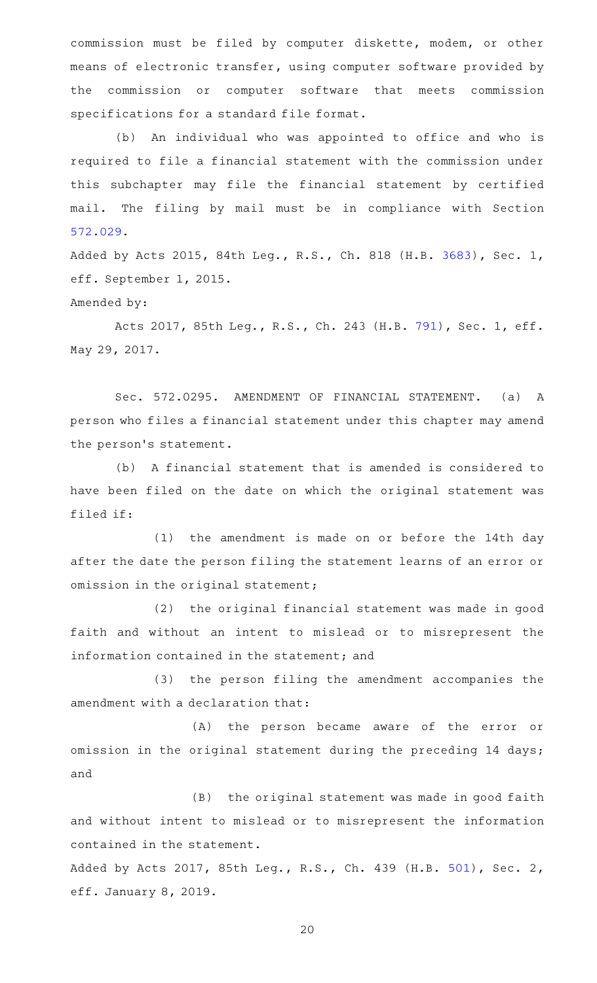commission must be filed by computer diskette, modem, or other means of electronic transfer, using computer software provided by the commission or computer software that meets commission specifications for a standard file format.

(b) An individual who was appointed to office and who is required to file a financial statement with the commission under this subchapter may file the financial statement by certified mail. The filing by mail must be in compliance with Section [572.029.](http://www.statutes.legis.state.tx.us/GetStatute.aspx?Code=GV&Value=572.029)

Added by Acts 2015, 84th Leg., R.S., Ch. 818 (H.B. [3683](http://www.legis.state.tx.us/tlodocs/84R/billtext/html/HB03683F.HTM)), Sec. 1, eff. September 1, 2015.

Amended by:

Acts 2017, 85th Leg., R.S., Ch. 243 (H.B. [791](http://www.legis.state.tx.us/tlodocs/85R/billtext/html/HB00791F.HTM)), Sec. 1, eff. May 29, 2017.

Sec. 572.0295. AMENDMENT OF FINANCIAL STATEMENT. (a) A person who files a financial statement under this chapter may amend the person's statement.

(b) A financial statement that is amended is considered to have been filed on the date on which the original statement was filed if:

 $(1)$  the amendment is made on or before the 14th day after the date the person filing the statement learns of an error or omission in the original statement;

(2) the original financial statement was made in good faith and without an intent to mislead or to misrepresent the information contained in the statement; and

(3) the person filing the amendment accompanies the amendment with a declaration that:

(A) the person became aware of the error or omission in the original statement during the preceding 14 days; and

(B) the original statement was made in good faith and without intent to mislead or to misrepresent the information contained in the statement.

Added by Acts 2017, 85th Leg., R.S., Ch. 439 (H.B. [501](http://www.legis.state.tx.us/tlodocs/85R/billtext/html/HB00501F.HTM)), Sec. 2, eff. January 8, 2019.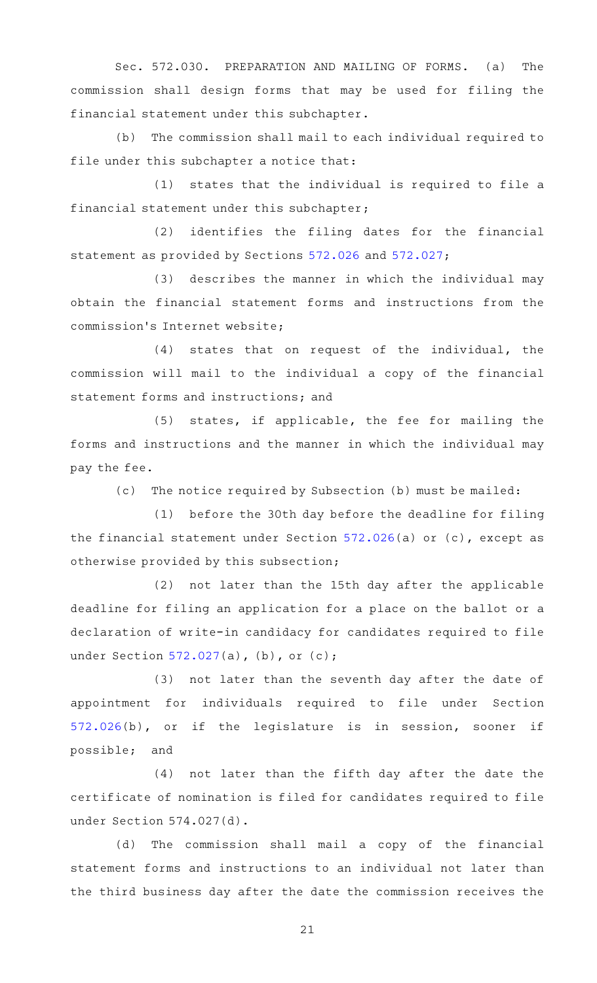Sec. 572.030. PREPARATION AND MAILING OF FORMS. (a) The commission shall design forms that may be used for filing the financial statement under this subchapter.

(b) The commission shall mail to each individual required to file under this subchapter a notice that:

 $(1)$  states that the individual is required to file a financial statement under this subchapter;

(2) identifies the filing dates for the financial statement as provided by Sections [572.026](http://www.statutes.legis.state.tx.us/GetStatute.aspx?Code=GV&Value=572.026) and [572.027](http://www.statutes.legis.state.tx.us/GetStatute.aspx?Code=GV&Value=572.027);

(3) describes the manner in which the individual may obtain the financial statement forms and instructions from the commission 's Internet website;

(4) states that on request of the individual, the commission will mail to the individual a copy of the financial statement forms and instructions; and

(5) states, if applicable, the fee for mailing the forms and instructions and the manner in which the individual may pay the fee.

(c) The notice required by Subsection (b) must be mailed:

(1) before the 30th day before the deadline for filing the financial statement under Section [572.026\(](http://www.statutes.legis.state.tx.us/GetStatute.aspx?Code=GV&Value=572.026)a) or (c), except as otherwise provided by this subsection;

(2) not later than the 15th day after the applicable deadline for filing an application for a place on the ballot or a declaration of write-in candidacy for candidates required to file under Section [572.027](http://www.statutes.legis.state.tx.us/GetStatute.aspx?Code=GV&Value=572.027)(a), (b), or (c);

(3) not later than the seventh day after the date of appointment for individuals required to file under Section [572.026\(](http://www.statutes.legis.state.tx.us/GetStatute.aspx?Code=GV&Value=572.026)b), or if the legislature is in session, sooner if possible; and

(4) not later than the fifth day after the date the certificate of nomination is filed for candidates required to file under Section 574.027(d).

(d) The commission shall mail a copy of the financial statement forms and instructions to an individual not later than the third business day after the date the commission receives the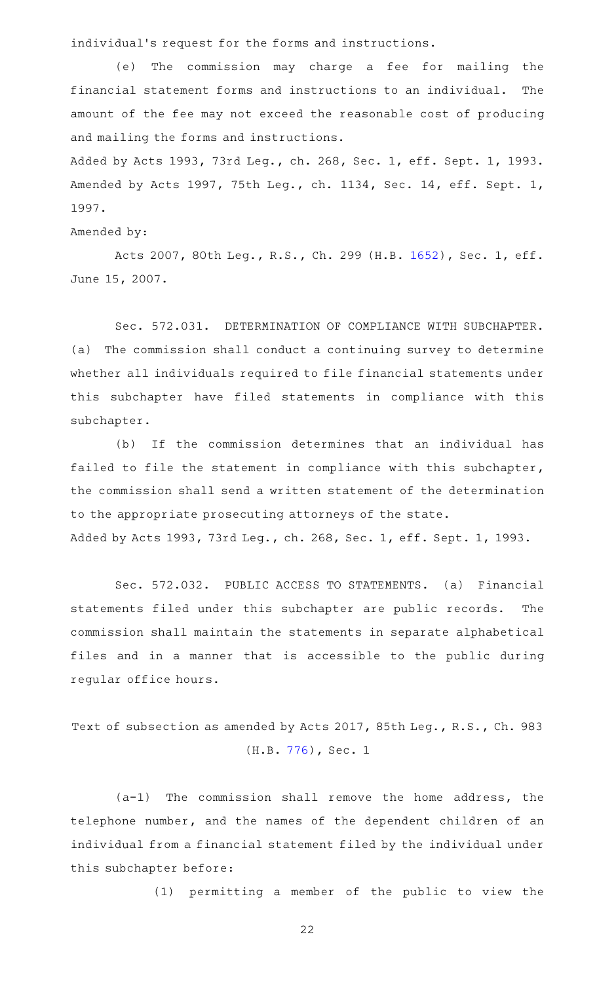individual 's request for the forms and instructions.

(e) The commission may charge a fee for mailing the financial statement forms and instructions to an individual. The amount of the fee may not exceed the reasonable cost of producing and mailing the forms and instructions.

Added by Acts 1993, 73rd Leg., ch. 268, Sec. 1, eff. Sept. 1, 1993. Amended by Acts 1997, 75th Leg., ch. 1134, Sec. 14, eff. Sept. 1, 1997.

#### Amended by:

Acts 2007, 80th Leg., R.S., Ch. 299 (H.B. [1652](http://www.legis.state.tx.us/tlodocs/80R/billtext/html/HB01652F.HTM)), Sec. 1, eff. June 15, 2007.

Sec. 572.031. DETERMINATION OF COMPLIANCE WITH SUBCHAPTER. (a) The commission shall conduct a continuing survey to determine whether all individuals required to file financial statements under this subchapter have filed statements in compliance with this subchapter.

(b) If the commission determines that an individual has failed to file the statement in compliance with this subchapter, the commission shall send a written statement of the determination to the appropriate prosecuting attorneys of the state. Added by Acts 1993, 73rd Leg., ch. 268, Sec. 1, eff. Sept. 1, 1993.

Sec. 572.032. PUBLIC ACCESS TO STATEMENTS. (a) Financial statements filed under this subchapter are public records. The commission shall maintain the statements in separate alphabetical files and in a manner that is accessible to the public during regular office hours.

Text of subsection as amended by Acts 2017, 85th Leg., R.S., Ch. 983 (H.B. [776](http://www.legis.state.tx.us/tlodocs/85R/billtext/html/HB00776F.HTM)), Sec. 1

 $(a-1)$  The commission shall remove the home address, the telephone number, and the names of the dependent children of an individual from a financial statement filed by the individual under this subchapter before:

(1) permitting a member of the public to view the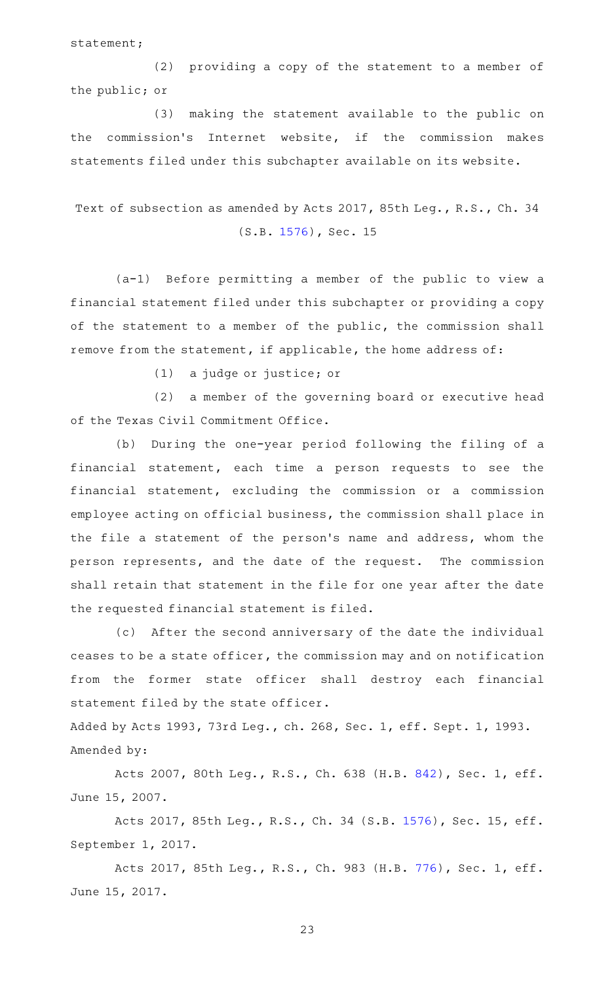statement;

(2) providing a copy of the statement to a member of the public; or

(3) making the statement available to the public on the commission 's Internet website, if the commission makes statements filed under this subchapter available on its website.

# Text of subsection as amended by Acts 2017, 85th Leg., R.S., Ch. 34 (S.B. [1576](http://www.legis.state.tx.us/tlodocs/85R/billtext/html/SB01576F.HTM)), Sec. 15

 $(a-1)$  Before permitting a member of the public to view a financial statement filed under this subchapter or providing a copy of the statement to a member of the public, the commission shall remove from the statement, if applicable, the home address of:

 $(1)$  a judge or justice; or

(2) a member of the governing board or executive head of the Texas Civil Commitment Office.

(b) During the one-year period following the filing of a financial statement, each time a person requests to see the financial statement, excluding the commission or a commission employee acting on official business, the commission shall place in the file a statement of the person 's name and address, whom the person represents, and the date of the request. The commission shall retain that statement in the file for one year after the date the requested financial statement is filed.

(c) After the second anniversary of the date the individual ceases to be a state officer, the commission may and on notification from the former state officer shall destroy each financial statement filed by the state officer.

Added by Acts 1993, 73rd Leg., ch. 268, Sec. 1, eff. Sept. 1, 1993. Amended by:

Acts 2007, 80th Leg., R.S., Ch. 638 (H.B. [842](http://www.legis.state.tx.us/tlodocs/80R/billtext/html/HB00842F.HTM)), Sec. 1, eff. June 15, 2007.

Acts 2017, 85th Leg., R.S., Ch. 34 (S.B. [1576\)](http://www.legis.state.tx.us/tlodocs/85R/billtext/html/SB01576F.HTM), Sec. 15, eff. September 1, 2017.

Acts 2017, 85th Leg., R.S., Ch. 983 (H.B. [776](http://www.legis.state.tx.us/tlodocs/85R/billtext/html/HB00776F.HTM)), Sec. 1, eff. June 15, 2017.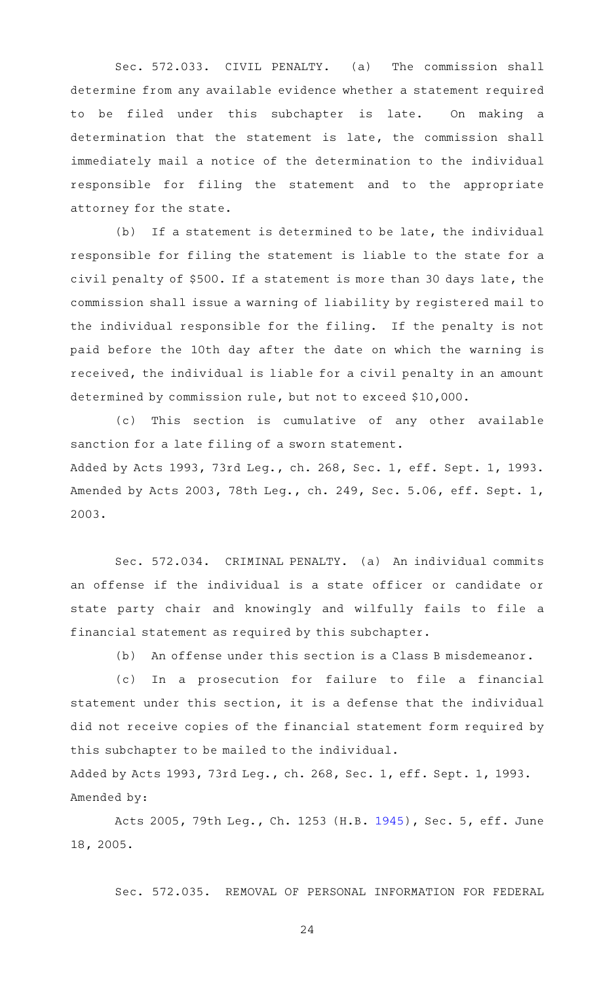Sec. 572.033. CIVIL PENALTY. (a) The commission shall determine from any available evidence whether a statement required to be filed under this subchapter is late. On making a determination that the statement is late, the commission shall immediately mail a notice of the determination to the individual responsible for filing the statement and to the appropriate attorney for the state.

 $(b)$  If a statement is determined to be late, the individual responsible for filing the statement is liable to the state for a civil penalty of \$500. If a statement is more than 30 days late, the commission shall issue a warning of liability by registered mail to the individual responsible for the filing. If the penalty is not paid before the 10th day after the date on which the warning is received, the individual is liable for a civil penalty in an amount determined by commission rule, but not to exceed \$10,000.

(c) This section is cumulative of any other available sanction for a late filing of a sworn statement. Added by Acts 1993, 73rd Leg., ch. 268, Sec. 1, eff. Sept. 1, 1993. Amended by Acts 2003, 78th Leg., ch. 249, Sec. 5.06, eff. Sept. 1, 2003.

Sec. 572.034. CRIMINAL PENALTY. (a) An individual commits an offense if the individual is a state officer or candidate or state party chair and knowingly and wilfully fails to file a financial statement as required by this subchapter.

(b) An offense under this section is a Class B misdemeanor.

(c) In a prosecution for failure to file a financial statement under this section, it is a defense that the individual did not receive copies of the financial statement form required by this subchapter to be mailed to the individual.

Added by Acts 1993, 73rd Leg., ch. 268, Sec. 1, eff. Sept. 1, 1993. Amended by:

Acts 2005, 79th Leg., Ch. 1253 (H.B. [1945](http://www.legis.state.tx.us/tlodocs/79R/billtext/html/HB01945F.HTM)), Sec. 5, eff. June 18, 2005.

Sec. 572.035. REMOVAL OF PERSONAL INFORMATION FOR FEDERAL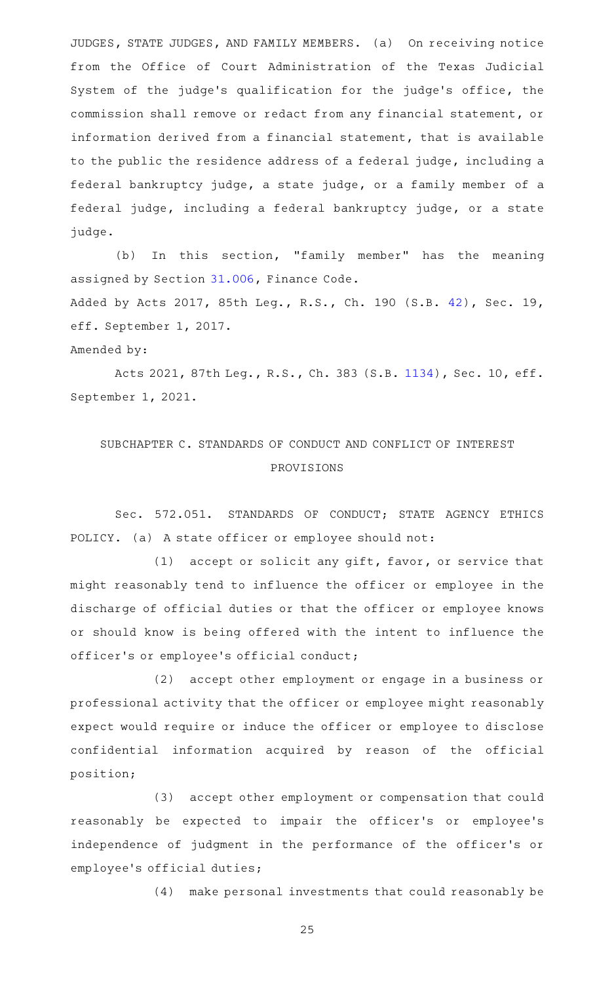JUDGES, STATE JUDGES, AND FAMILY MEMBERS. (a) On receiving notice from the Office of Court Administration of the Texas Judicial System of the judge 's qualification for the judge 's office, the commission shall remove or redact from any financial statement, or information derived from a financial statement, that is available to the public the residence address of a federal judge, including a federal bankruptcy judge, a state judge, or a family member of a federal judge, including a federal bankruptcy judge, or a state judge.

(b) In this section, "family member" has the meaning assigned by Section [31.006,](http://www.statutes.legis.state.tx.us/GetStatute.aspx?Code=FI&Value=31.006) Finance Code. Added by Acts 2017, 85th Leg., R.S., Ch. 190 (S.B. [42](http://www.legis.state.tx.us/tlodocs/85R/billtext/html/SB00042F.HTM)), Sec. 19, eff. September 1, 2017.

## Amended by:

Acts 2021, 87th Leg., R.S., Ch. 383 (S.B. [1134\)](http://www.legis.state.tx.us/tlodocs/87R/billtext/html/SB01134F.HTM), Sec. 10, eff. September 1, 2021.

# SUBCHAPTER C. STANDARDS OF CONDUCT AND CONFLICT OF INTEREST PROVISIONS

Sec. 572.051. STANDARDS OF CONDUCT; STATE AGENCY ETHICS POLICY. (a) A state officer or employee should not:

 $(1)$  accept or solicit any gift, favor, or service that might reasonably tend to influence the officer or employee in the discharge of official duties or that the officer or employee knows or should know is being offered with the intent to influence the officer 's or employee 's official conduct;

(2) accept other employment or engage in a business or professional activity that the officer or employee might reasonably expect would require or induce the officer or employee to disclose confidential information acquired by reason of the official position;

(3) accept other employment or compensation that could reasonably be expected to impair the officer 's or employee 's independence of judgment in the performance of the officer 's or employee 's official duties;

(4) make personal investments that could reasonably be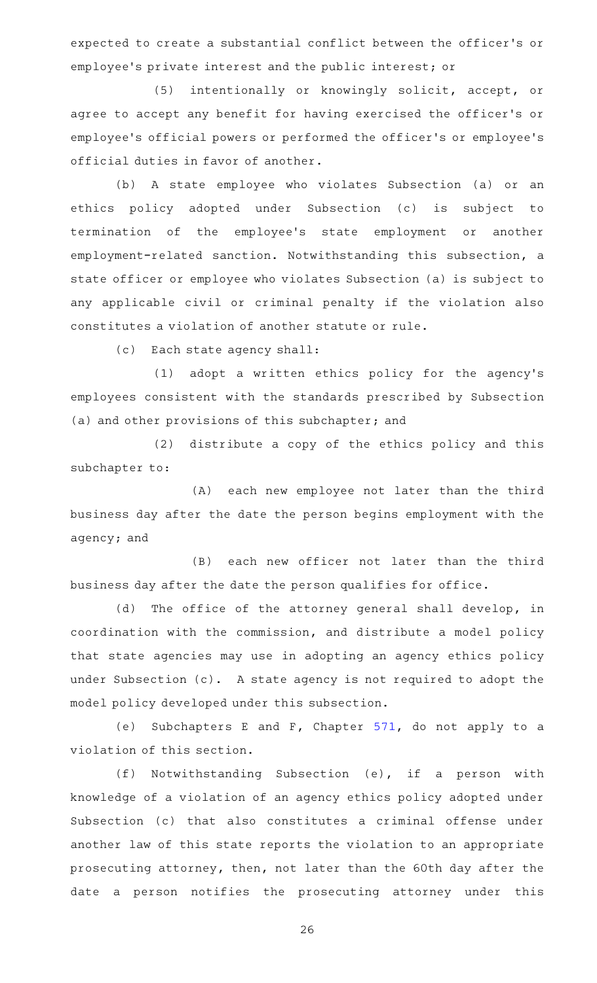expected to create a substantial conflict between the officer 's or employee 's private interest and the public interest; or

(5) intentionally or knowingly solicit, accept, or agree to accept any benefit for having exercised the officer 's or employee 's official powers or performed the officer 's or employee 's official duties in favor of another.

(b) A state employee who violates Subsection (a) or an ethics policy adopted under Subsection (c) is subject to termination of the employee 's state employment or another employment-related sanction. Notwithstanding this subsection, a state officer or employee who violates Subsection (a) is subject to any applicable civil or criminal penalty if the violation also constitutes a violation of another statute or rule.

(c) Each state agency shall:

(1) adopt a written ethics policy for the agency's employees consistent with the standards prescribed by Subsection (a) and other provisions of this subchapter; and

(2) distribute a copy of the ethics policy and this subchapter to:

(A) each new employee not later than the third business day after the date the person begins employment with the agency; and

(B) each new officer not later than the third business day after the date the person qualifies for office.

(d) The office of the attorney general shall develop, in coordination with the commission, and distribute a model policy that state agencies may use in adopting an agency ethics policy under Subsection (c). A state agency is not required to adopt the model policy developed under this subsection.

(e) Subchapters E and F, Chapter  $571$ , do not apply to a violation of this section.

(f) Notwithstanding Subsection (e), if a person with knowledge of a violation of an agency ethics policy adopted under Subsection (c) that also constitutes a criminal offense under another law of this state reports the violation to an appropriate prosecuting attorney, then, not later than the 60th day after the date a person notifies the prosecuting attorney under this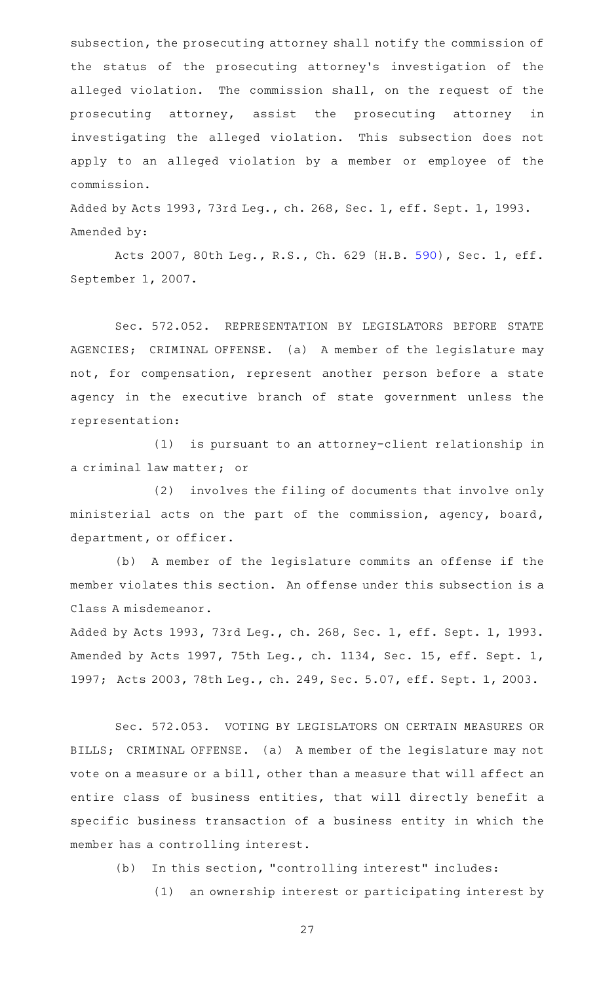subsection, the prosecuting attorney shall notify the commission of the status of the prosecuting attorney 's investigation of the alleged violation. The commission shall, on the request of the prosecuting attorney, assist the prosecuting attorney in investigating the alleged violation. This subsection does not apply to an alleged violation by a member or employee of the commission.

Added by Acts 1993, 73rd Leg., ch. 268, Sec. 1, eff. Sept. 1, 1993. Amended by:

Acts 2007, 80th Leg., R.S., Ch. 629 (H.B. [590](http://www.legis.state.tx.us/tlodocs/80R/billtext/html/HB00590F.HTM)), Sec. 1, eff. September 1, 2007.

Sec. 572.052. REPRESENTATION BY LEGISLATORS BEFORE STATE AGENCIES; CRIMINAL OFFENSE. (a) A member of the legislature may not, for compensation, represent another person before a state agency in the executive branch of state government unless the representation:

(1) is pursuant to an attorney-client relationship in a criminal law matter; or

 $(2)$  involves the filing of documents that involve only ministerial acts on the part of the commission, agency, board, department, or officer.

(b) A member of the legislature commits an offense if the member violates this section. An offense under this subsection is a Class A misdemeanor.

Added by Acts 1993, 73rd Leg., ch. 268, Sec. 1, eff. Sept. 1, 1993. Amended by Acts 1997, 75th Leg., ch. 1134, Sec. 15, eff. Sept. 1, 1997; Acts 2003, 78th Leg., ch. 249, Sec. 5.07, eff. Sept. 1, 2003.

Sec. 572.053. VOTING BY LEGISLATORS ON CERTAIN MEASURES OR BILLS; CRIMINAL OFFENSE. (a) A member of the legislature may not vote on a measure or a bill, other than a measure that will affect an entire class of business entities, that will directly benefit a specific business transaction of a business entity in which the member has a controlling interest.

(b) In this section, "controlling interest" includes:

(1) an ownership interest or participating interest by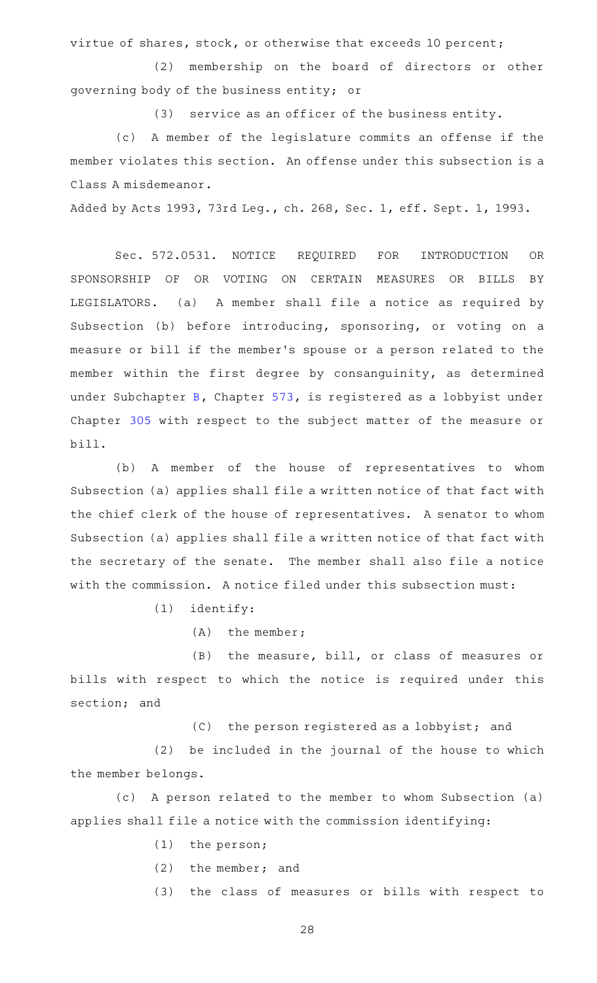virtue of shares, stock, or otherwise that exceeds 10 percent;

(2) membership on the board of directors or other governing body of the business entity; or

 $(3)$  service as an officer of the business entity.

(c)AAA member of the legislature commits an offense if the member violates this section. An offense under this subsection is a Class A misdemeanor.

Added by Acts 1993, 73rd Leg., ch. 268, Sec. 1, eff. Sept. 1, 1993.

Sec. 572.0531. NOTICE REQUIRED FOR INTRODUCTION OR SPONSORSHIP OF OR VOTING ON CERTAIN MEASURES OR BILLS BY LEGISLATORS. (a) A member shall file a notice as required by Subsection (b) before introducing, sponsoring, or voting on a measure or bill if the member 's spouse or a person related to the member within the first degree by consanguinity, as determined under Subchapter [B](http://www.statutes.legis.state.tx.us/GetStatute.aspx?Code=GV&Value=573.021), Chapter [573](http://www.statutes.legis.state.tx.us/GetStatute.aspx?Code=GV&Value=573), is registered as a lobbyist under Chapter [305](http://www.statutes.legis.state.tx.us/GetStatute.aspx?Code=GV&Value=305) with respect to the subject matter of the measure or bill.

(b) A member of the house of representatives to whom Subsection (a) applies shall file a written notice of that fact with the chief clerk of the house of representatives. A senator to whom Subsection (a) applies shall file a written notice of that fact with the secretary of the senate. The member shall also file a notice with the commission. A notice filed under this subsection must:

 $(1)$  identify:

(A) the member;

(B) the measure, bill, or class of measures or bills with respect to which the notice is required under this section; and

(C) the person registered as a lobbyist; and

 $(2)$  be included in the journal of the house to which the member belongs.

(c) A person related to the member to whom Subsection (a) applies shall file a notice with the commission identifying:

- $(1)$  the person;
- $(2)$  the member; and

(3) the class of measures or bills with respect to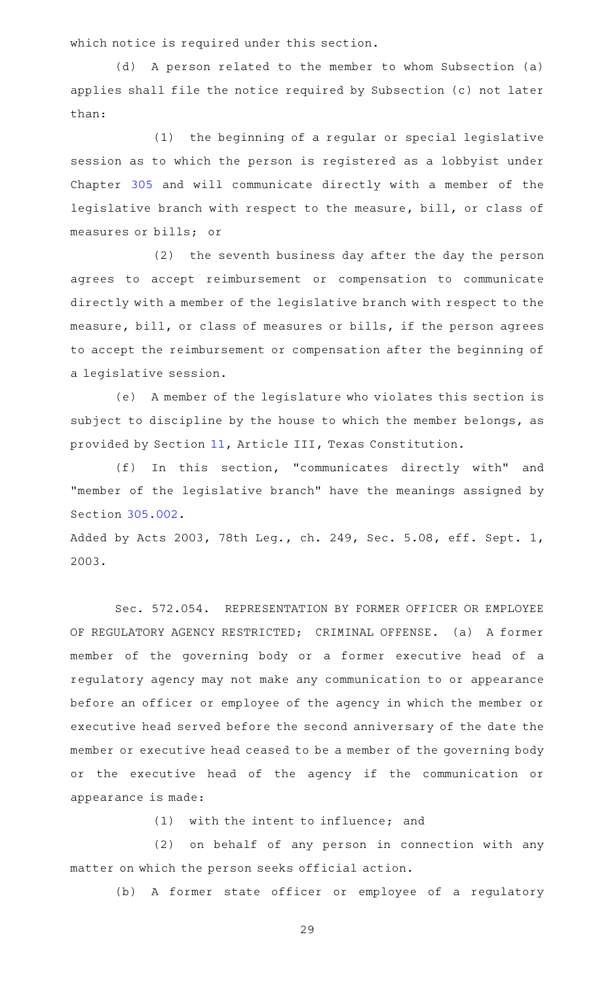which notice is required under this section.

(d) A person related to the member to whom Subsection (a) applies shall file the notice required by Subsection (c) not later than:

(1) the beginning of a regular or special legislative session as to which the person is registered as a lobbyist under Chapter [305](http://www.statutes.legis.state.tx.us/GetStatute.aspx?Code=GV&Value=305) and will communicate directly with a member of the legislative branch with respect to the measure, bill, or class of measures or bills; or

(2) the seventh business day after the day the person agrees to accept reimbursement or compensation to communicate directly with a member of the legislative branch with respect to the measure, bill, or class of measures or bills, if the person agrees to accept the reimbursement or compensation after the beginning of a legislative session.

(e) A member of the legislature who violates this section is subject to discipline by the house to which the member belongs, as provided by Section [11,](http://www.statutes.legis.state.tx.us/GetStatute.aspx?Code=CN&Value=3.11) Article III, Texas Constitution.

(f) In this section, "communicates directly with" and "member of the legislative branch" have the meanings assigned by Section [305.002.](http://www.statutes.legis.state.tx.us/GetStatute.aspx?Code=GV&Value=305.002)

Added by Acts 2003, 78th Leg., ch. 249, Sec. 5.08, eff. Sept. 1, 2003.

Sec. 572.054. REPRESENTATION BY FORMER OFFICER OR EMPLOYEE OF REGULATORY AGENCY RESTRICTED; CRIMINAL OFFENSE. (a) A former member of the governing body or a former executive head of a regulatory agency may not make any communication to or appearance before an officer or employee of the agency in which the member or executive head served before the second anniversary of the date the member or executive head ceased to be a member of the governing body or the executive head of the agency if the communication or appearance is made:

 $(1)$  with the intent to influence; and

(2) on behalf of any person in connection with any matter on which the person seeks official action.

(b) A former state officer or employee of a regulatory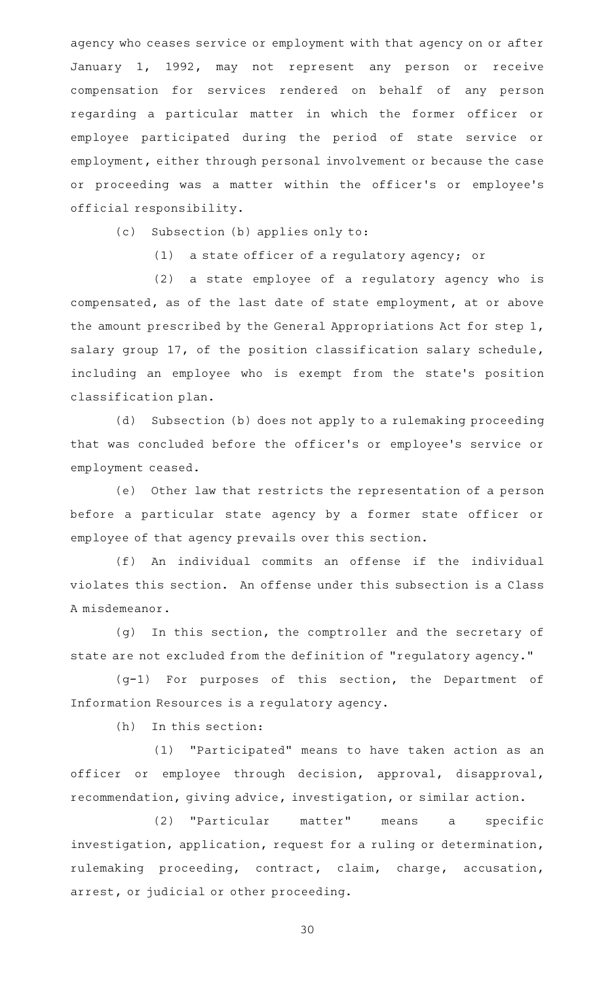agency who ceases service or employment with that agency on or after January 1, 1992, may not represent any person or receive compensation for services rendered on behalf of any person regarding a particular matter in which the former officer or employee participated during the period of state service or employment, either through personal involvement or because the case or proceeding was a matter within the officer 's or employee 's official responsibility.

(c) Subsection (b) applies only to:

 $(1)$  a state officer of a regulatory agency; or

(2) a state employee of a regulatory agency who is compensated, as of the last date of state employment, at or above the amount prescribed by the General Appropriations Act for step 1, salary group 17, of the position classification salary schedule, including an employee who is exempt from the state's position classification plan.

(d) Subsection (b) does not apply to a rulemaking proceeding that was concluded before the officer 's or employee 's service or employment ceased.

(e) Other law that restricts the representation of a person before a particular state agency by a former state officer or employee of that agency prevails over this section.

(f) An individual commits an offense if the individual violates this section. An offense under this subsection is a Class A misdemeanor.

(g) In this section, the comptroller and the secretary of state are not excluded from the definition of "regulatory agency."

(g-1) For purposes of this section, the Department of Information Resources is a regulatory agency.

 $(h)$  In this section:

(1) "Participated" means to have taken action as an officer or employee through decision, approval, disapproval, recommendation, giving advice, investigation, or similar action.

(2) "Particular matter" means a specific investigation, application, request for a ruling or determination, rulemaking proceeding, contract, claim, charge, accusation, arrest, or judicial or other proceeding.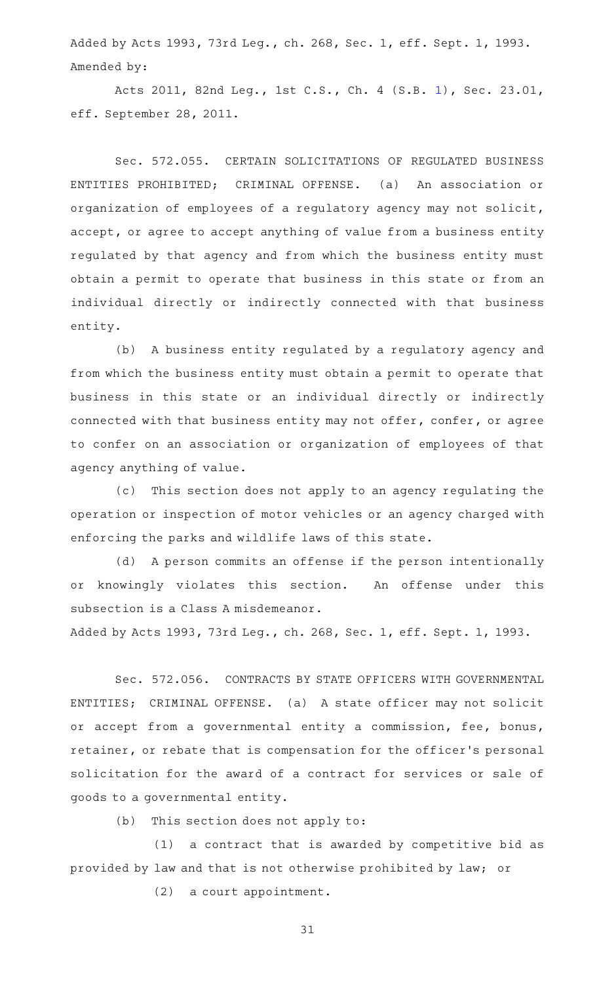Added by Acts 1993, 73rd Leg., ch. 268, Sec. 1, eff. Sept. 1, 1993. Amended by:

Acts 2011, 82nd Leg., 1st C.S., Ch. 4 (S.B. [1](http://www.legis.state.tx.us/tlodocs/821/billtext/html/SB00001F.HTM)), Sec. 23.01, eff. September 28, 2011.

Sec. 572.055. CERTAIN SOLICITATIONS OF REGULATED BUSINESS ENTITIES PROHIBITED; CRIMINAL OFFENSE. (a) An association or organization of employees of a regulatory agency may not solicit, accept, or agree to accept anything of value from a business entity regulated by that agency and from which the business entity must obtain a permit to operate that business in this state or from an individual directly or indirectly connected with that business entity.

(b) A business entity regulated by a regulatory agency and from which the business entity must obtain a permit to operate that business in this state or an individual directly or indirectly connected with that business entity may not offer, confer, or agree to confer on an association or organization of employees of that agency anything of value.

(c) This section does not apply to an agency regulating the operation or inspection of motor vehicles or an agency charged with enforcing the parks and wildlife laws of this state.

(d) A person commits an offense if the person intentionally or knowingly violates this section. An offense under this subsection is a Class A misdemeanor.

Added by Acts 1993, 73rd Leg., ch. 268, Sec. 1, eff. Sept. 1, 1993.

Sec. 572.056. CONTRACTS BY STATE OFFICERS WITH GOVERNMENTAL ENTITIES; CRIMINAL OFFENSE. (a) A state officer may not solicit or accept from a governmental entity a commission, fee, bonus, retainer, or rebate that is compensation for the officer 's personal solicitation for the award of a contract for services or sale of goods to a governmental entity.

 $(b)$  This section does not apply to:

 $(1)$  a contract that is awarded by competitive bid as provided by law and that is not otherwise prohibited by law; or

 $(2)$  a court appointment.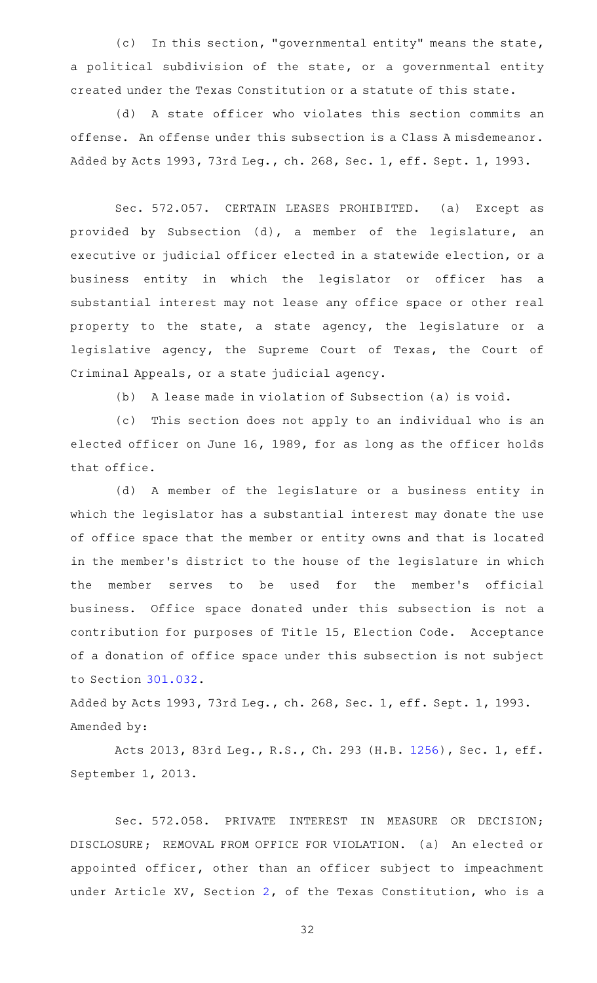(c) In this section, "governmental entity" means the state, a political subdivision of the state, or a governmental entity created under the Texas Constitution or a statute of this state.

(d) A state officer who violates this section commits an offense. An offense under this subsection is a Class A misdemeanor. Added by Acts 1993, 73rd Leg., ch. 268, Sec. 1, eff. Sept. 1, 1993.

Sec. 572.057. CERTAIN LEASES PROHIBITED. (a) Except as provided by Subsection (d), a member of the legislature, an executive or judicial officer elected in a statewide election, or a business entity in which the legislator or officer has a substantial interest may not lease any office space or other real property to the state, a state agency, the legislature or a legislative agency, the Supreme Court of Texas, the Court of Criminal Appeals, or a state judicial agency.

(b) A lease made in violation of Subsection (a) is void.

(c) This section does not apply to an individual who is an elected officer on June 16, 1989, for as long as the officer holds that office.

(d)AAA member of the legislature or a business entity in which the legislator has a substantial interest may donate the use of office space that the member or entity owns and that is located in the member 's district to the house of the legislature in which the member serves to be used for the member's official business. Office space donated under this subsection is not a contribution for purposes of Title 15, Election Code. Acceptance of a donation of office space under this subsection is not subject to Section [301.032.](http://www.statutes.legis.state.tx.us/GetStatute.aspx?Code=GV&Value=301.032)

Added by Acts 1993, 73rd Leg., ch. 268, Sec. 1, eff. Sept. 1, 1993. Amended by:

Acts 2013, 83rd Leg., R.S., Ch. 293 (H.B. [1256](http://www.legis.state.tx.us/tlodocs/83R/billtext/html/HB01256F.HTM)), Sec. 1, eff. September 1, 2013.

Sec. 572.058. PRIVATE INTEREST IN MEASURE OR DECISION; DISCLOSURE; REMOVAL FROM OFFICE FOR VIOLATION. (a) An elected or appointed officer, other than an officer subject to impeachment under Article XV, Section [2,](http://www.statutes.legis.state.tx.us/GetStatute.aspx?Code=CN&Value=15.2) of the Texas Constitution, who is a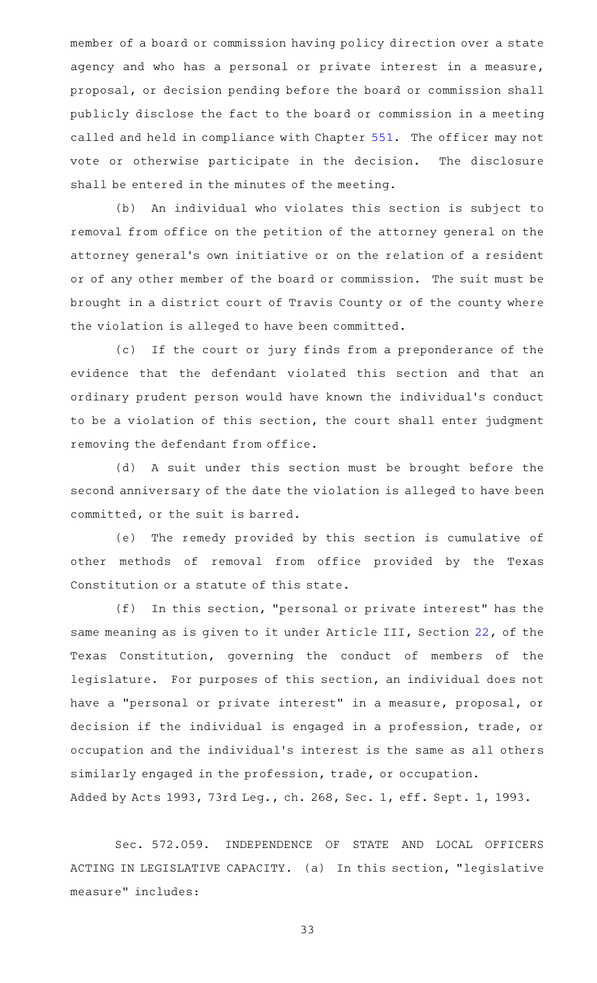member of a board or commission having policy direction over a state agency and who has a personal or private interest in a measure, proposal, or decision pending before the board or commission shall publicly disclose the fact to the board or commission in a meeting called and held in compliance with Chapter [551](http://www.statutes.legis.state.tx.us/GetStatute.aspx?Code=GV&Value=551). The officer may not vote or otherwise participate in the decision. The disclosure shall be entered in the minutes of the meeting.

(b) An individual who violates this section is subject to removal from office on the petition of the attorney general on the attorney general 's own initiative or on the relation of a resident or of any other member of the board or commission. The suit must be brought in a district court of Travis County or of the county where the violation is alleged to have been committed.

(c) If the court or jury finds from a preponderance of the evidence that the defendant violated this section and that an ordinary prudent person would have known the individual 's conduct to be a violation of this section, the court shall enter judgment removing the defendant from office.

(d) A suit under this section must be brought before the second anniversary of the date the violation is alleged to have been committed, or the suit is barred.

(e) The remedy provided by this section is cumulative of other methods of removal from office provided by the Texas Constitution or a statute of this state.

 $(f)$  In this section, "personal or private interest" has the same meaning as is given to it under Article III, Section [22,](http://www.statutes.legis.state.tx.us/GetStatute.aspx?Code=CN&Value=3.22) of the Texas Constitution, governing the conduct of members of the legislature. For purposes of this section, an individual does not have a "personal or private interest" in a measure, proposal, or decision if the individual is engaged in a profession, trade, or occupation and the individual 's interest is the same as all others similarly engaged in the profession, trade, or occupation. Added by Acts 1993, 73rd Leg., ch. 268, Sec. 1, eff. Sept. 1, 1993.

Sec. 572.059. INDEPENDENCE OF STATE AND LOCAL OFFICERS ACTING IN LEGISLATIVE CAPACITY. (a) In this section, "legislative measure" includes: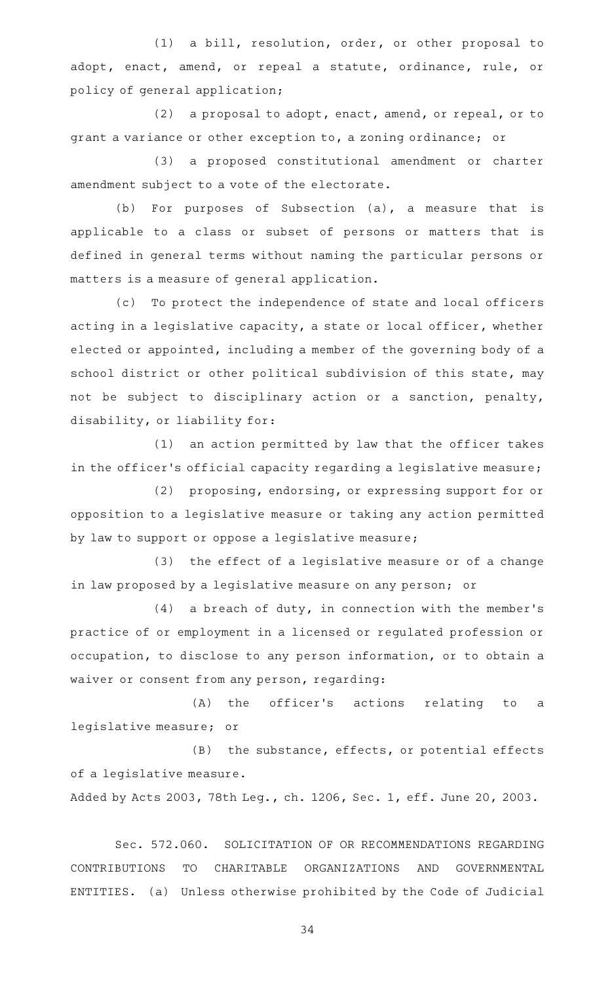(1) a bill, resolution, order, or other proposal to adopt, enact, amend, or repeal a statute, ordinance, rule, or policy of general application;

(2) a proposal to adopt, enact, amend, or repeal, or to grant a variance or other exception to, a zoning ordinance; or

(3) a proposed constitutional amendment or charter amendment subject to a vote of the electorate.

(b) For purposes of Subsection  $(a)$ , a measure that is applicable to a class or subset of persons or matters that is defined in general terms without naming the particular persons or matters is a measure of general application.

(c) To protect the independence of state and local officers acting in a legislative capacity, a state or local officer, whether elected or appointed, including a member of the governing body of a school district or other political subdivision of this state, may not be subject to disciplinary action or a sanction, penalty, disability, or liability for:

 $(1)$  an action permitted by law that the officer takes in the officer's official capacity regarding a legislative measure;

(2) proposing, endorsing, or expressing support for or opposition to a legislative measure or taking any action permitted by law to support or oppose a legislative measure;

(3) the effect of a legislative measure or of a change in law proposed by a legislative measure on any person; or

 $(4)$  a breach of duty, in connection with the member's practice of or employment in a licensed or regulated profession or occupation, to disclose to any person information, or to obtain a waiver or consent from any person, regarding:

(A) the officer's actions relating to a legislative measure; or

(B) the substance, effects, or potential effects of a legislative measure.

Added by Acts 2003, 78th Leg., ch. 1206, Sec. 1, eff. June 20, 2003.

Sec. 572.060. SOLICITATION OF OR RECOMMENDATIONS REGARDING CONTRIBUTIONS TO CHARITABLE ORGANIZATIONS AND GOVERNMENTAL ENTITIES. (a) Unless otherwise prohibited by the Code of Judicial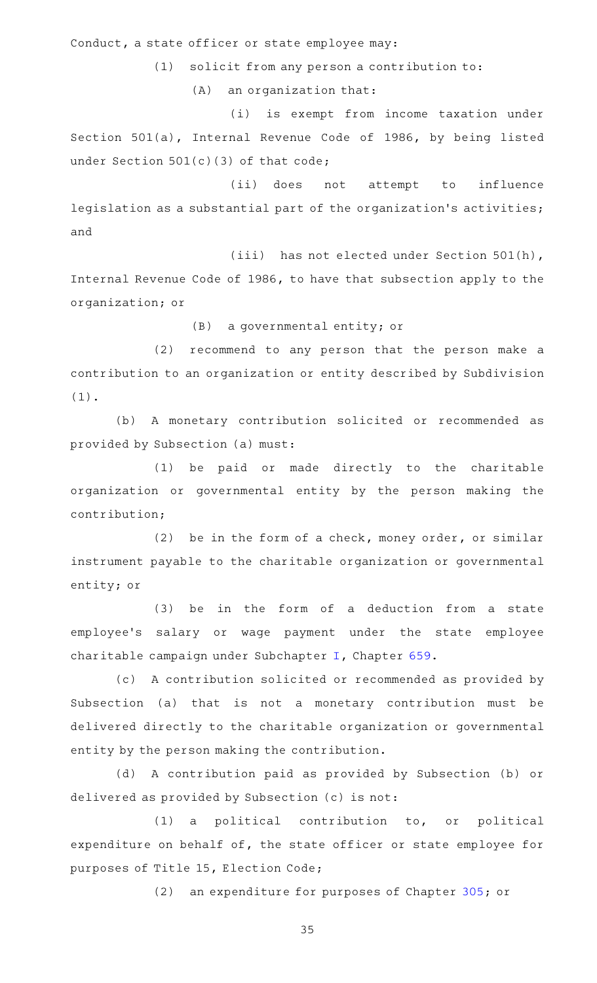Conduct, a state officer or state employee may:

 $(1)$  solicit from any person a contribution to:

 $(A)$  an organization that:

(i) is exempt from income taxation under Section 501(a), Internal Revenue Code of 1986, by being listed under Section  $501(c)(3)$  of that code;

(ii) does not attempt to influence legislation as a substantial part of the organization 's activities; and

(iii) has not elected under Section 501(h), Internal Revenue Code of 1986, to have that subsection apply to the organization; or

(B) a governmental entity; or

(2) recommend to any person that the person make a contribution to an organization or entity described by Subdivision (1).

(b) A monetary contribution solicited or recommended as provided by Subsection (a) must:

(1) be paid or made directly to the charitable organization or governmental entity by the person making the contribution;

(2) be in the form of a check, money order, or similar instrument payable to the charitable organization or governmental entity; or

(3) be in the form of a deduction from a state employee's salary or wage payment under the state employee charitable campaign under Subchapter [I,](http://www.statutes.legis.state.tx.us/GetStatute.aspx?Code=GV&Value=659.131) Chapter [659.](http://www.statutes.legis.state.tx.us/GetStatute.aspx?Code=GV&Value=659)

(c) A contribution solicited or recommended as provided by Subsection (a) that is not a monetary contribution must be delivered directly to the charitable organization or governmental entity by the person making the contribution.

(d) A contribution paid as provided by Subsection (b) or delivered as provided by Subsection (c) is not:

 $(1)$  a political contribution to, or political expenditure on behalf of, the state officer or state employee for purposes of Title 15, Election Code;

(2) an expenditure for purposes of Chapter [305](http://www.statutes.legis.state.tx.us/GetStatute.aspx?Code=GV&Value=305); or